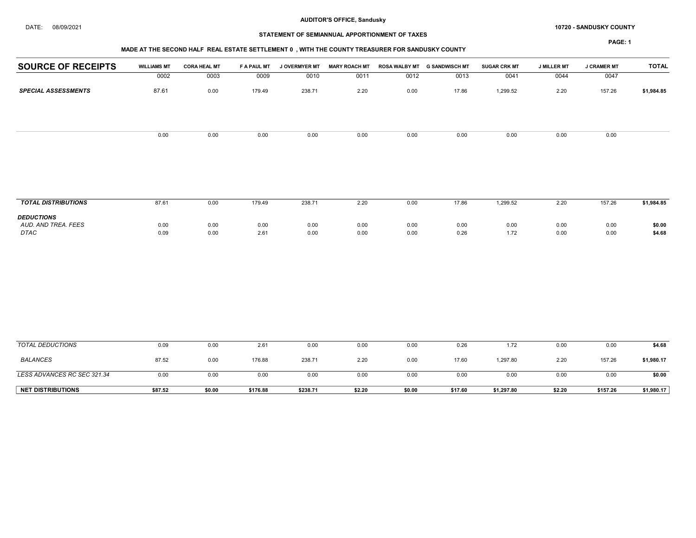#### DATE: 08/09/2021 10720 - SANDUSKY COUNTY

# STATEMENT OF SEMIANNUAL APPORTIONMENT OF TAXES

| <b>SOURCE OF RECEIPTS</b>          | <b>WILLIAMS MT</b> | <b>CORA HEAL MT</b> | F A PAUL MT  | <b>J OVERMYER MT</b> | <b>MARY ROACH MT</b> |              | ROSA WALBY MT G SANDWISCH MT | <b>SUGAR CRK MT</b> | <b>J MILLER MT</b> | <b>J CRAMER MT</b> | <b>TOTAL</b>     |
|------------------------------------|--------------------|---------------------|--------------|----------------------|----------------------|--------------|------------------------------|---------------------|--------------------|--------------------|------------------|
|                                    | 0002               | 0003                | 0009         | 0010                 | 0011                 | 0012         | 0013                         | 0041                | 0044               | 0047               |                  |
| <b>SPECIAL ASSESSMENTS</b>         | 87.61              | 0.00                | 179.49       | 238.71               | 2.20                 | 0.00         | 17.86                        | 1,299.52            | 2.20               | 157.26             | \$1,984.85       |
|                                    | 0.00               | 0.00                | 0.00         | 0.00                 | 0.00                 | 0.00         | 0.00                         | 0.00                | 0.00               | 0.00               |                  |
| <b>TOTAL DISTRIBUTIONS</b>         | 87.61              | 0.00                | 179.49       | 238.71               | 2.20                 | 0.00         | 17.86                        | 1,299.52            | 2.20               | 157.26             | \$1,984.85       |
| <b>DEDUCTIONS</b>                  |                    |                     |              |                      |                      |              |                              |                     |                    |                    |                  |
| AUD. AND TREA. FEES<br><b>DTAC</b> | 0.00<br>0.09       | 0.00<br>0.00        | 0.00<br>2.61 | 0.00<br>0.00         | 0.00<br>0.00         | 0.00<br>0.00 | 0.00<br>0.26                 | 0.00<br>1.72        | 0.00<br>0.00       | 0.00<br>0.00       | \$0.00<br>\$4.68 |
|                                    |                    |                     |              |                      |                      |              |                              |                     |                    |                    |                  |
| <b>TOTAL DEDUCTIONS</b>            | 0.09               | 0.00                | 2.61         | 0.00                 | 0.00                 | 0.00         | 0.26                         | 1.72                | 0.00               | 0.00               | \$4.68           |
| <b>BALANCES</b>                    | 87.52              | 0.00                | 176.88       | 238.71               | 2.20                 | 0.00         | 17.60                        | 1,297.80            | 2.20               | 157.26             | \$1,980.17       |
| LESS ADVANCES RC SEC 321.34        | 0.00               | 0.00                | 0.00         | 0.00                 | 0.00                 | 0.00         | 0.00                         | 0.00                | 0.00               | 0.00               | \$0.00           |
| <b>NET DISTRIBUTIONS</b>           | \$87.52            | \$0.00              | \$176.88     | \$238.71             | \$2.20               | \$0.00       | \$17.60                      | \$1,297.80          | \$2.20             | \$157.26           | \$1,980.17       |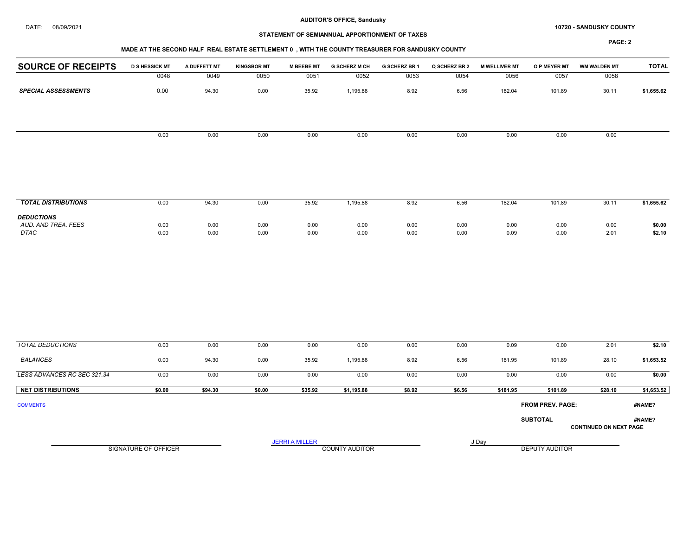#### DATE: 08/09/2021 10720 - SANDUSKY COUNTY

# STATEMENT OF SEMIANNUAL APPORTIONMENT OF TAXES

## MADE AT THE SECOND HALF REAL ESTATE SETTLEMENT 0 , WITH THE COUNTY TREASURER FOR SANDUSKY COUNTY

| <b>SOURCE OF RECEIPTS</b>                | <b>D S HESSICK MT</b>       | A DUFFETT MT | <b>KINGSBOR MT</b> | <b>M BEEBE MT</b>     | <b>G SCHERZ M CH</b>  | G SCHERZ BR 1 | Q SCHERZ BR 2 | <b>M WELLIVER MT</b> | O P MEYER MT          | <b>WM WALDEN MT</b>           | <b>TOTAL</b> |
|------------------------------------------|-----------------------------|--------------|--------------------|-----------------------|-----------------------|---------------|---------------|----------------------|-----------------------|-------------------------------|--------------|
|                                          | 0048                        | 0049         | 0050               | 0051                  | 0052                  | 0053          | 0054          | 0056                 | 0057                  | 0058                          |              |
| <b>SPECIAL ASSESSMENTS</b>               | 0.00                        | 94.30        | 0.00               | 35.92                 | 1,195.88              | 8.92          | 6.56          | 182.04               | 101.89                | 30.11                         | \$1,655.62   |
|                                          |                             |              |                    |                       |                       |               |               |                      |                       |                               |              |
|                                          | 0.00                        | 0.00         | 0.00               | 0.00                  | 0.00                  | 0.00          | 0.00          | 0.00                 | 0.00                  | 0.00                          |              |
|                                          |                             |              |                    |                       |                       |               |               |                      |                       |                               |              |
|                                          |                             |              |                    |                       |                       |               |               |                      |                       |                               |              |
| <b>TOTAL DISTRIBUTIONS</b>               | 0.00                        | 94.30        | 0.00               | 35.92                 | 1,195.88              | 8.92          | 6.56          | 182.04               | 101.89                | 30.11                         | \$1,655.62   |
| <b>DEDUCTIONS</b><br>AUD. AND TREA. FEES | 0.00                        | 0.00         | 0.00               | 0.00                  | 0.00                  | 0.00          | 0.00          | 0.00                 | 0.00                  | 0.00                          | \$0.00       |
| DTAC                                     | 0.00                        | 0.00         | 0.00               | 0.00                  | 0.00                  | 0.00          | 0.00          | 0.09                 | 0.00                  | 2.01                          | \$2.10       |
|                                          |                             |              |                    |                       |                       |               |               |                      |                       |                               |              |
| <b>TOTAL DEDUCTIONS</b>                  | 0.00                        | 0.00         | 0.00               | 0.00                  | 0.00                  | 0.00          | 0.00          | 0.09                 | 0.00                  | 2.01                          | \$2.10       |
| <b>BALANCES</b>                          | 0.00                        | 94.30        | 0.00               | 35.92                 | 1,195.88              | 8.92          | 6.56          | 181.95               | 101.89                | 28.10                         | \$1,653.52   |
| LESS ADVANCES RC SEC 321.34              | 0.00                        | 0.00         | 0.00               | 0.00                  | 0.00                  | 0.00          | 0.00          | 0.00                 | 0.00                  | 0.00                          | \$0.00       |
| <b>NET DISTRIBUTIONS</b>                 | \$0.00                      | \$94.30      | \$0.00             | \$35.92               | \$1,195.88            | \$8.92        | \$6.56        | \$181.95             | \$101.89              | \$28.10                       | \$1,653.52   |
| <b>COMMENTS</b>                          |                             |              |                    |                       |                       |               |               |                      | FROM PREV. PAGE:      |                               | #NAME?       |
|                                          |                             |              |                    |                       |                       |               |               |                      | <b>SUBTOTAL</b>       | <b>CONTINUED ON NEXT PAGE</b> | #NAME?       |
|                                          | <b>SIGNATURE OF OFFICER</b> |              |                    | <b>JERRI A MILLER</b> | <b>COUNTY AUDITOR</b> |               |               | J Day                | <b>DEPUTY AUDITOR</b> |                               |              |
|                                          |                             |              |                    |                       |                       |               |               |                      |                       |                               |              |
|                                          |                             |              |                    |                       |                       |               |               |                      |                       |                               |              |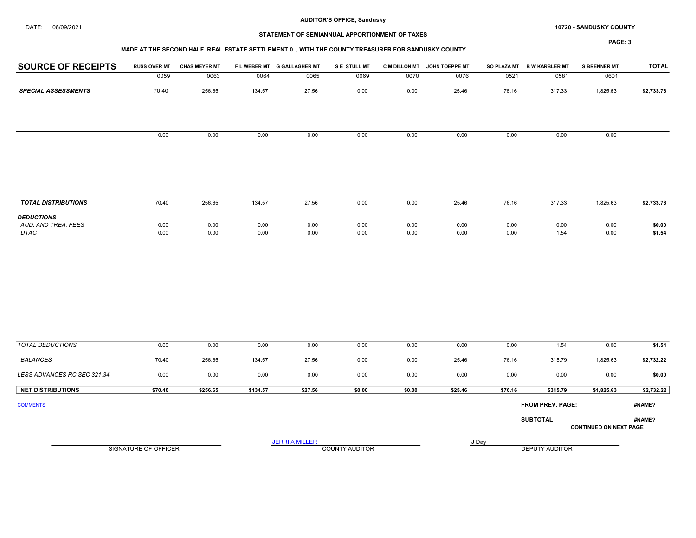#### DATE: 08/09/2021 10720 - SANDUSKY COUNTY

# STATEMENT OF SEMIANNUAL APPORTIONMENT OF TAXES

## MADE AT THE SECOND HALF REAL ESTATE SETTLEMENT 0 , WITH THE COUNTY TREASURER FOR SANDUSKY COUNTY

| <b>SOURCE OF RECEIPTS</b>                | <b>RUSS OVER MT</b>         | <b>CHAS MEYER MT</b> |          | FLWEBER MT G GALLAGHER MT | S E STULL MT          |        | C M DILLON MT JOHN TOEPPE MT |         | SO PLAZA MT B W KARBLER MT | <b>S BRENNER MT</b>           | <b>TOTAL</b> |
|------------------------------------------|-----------------------------|----------------------|----------|---------------------------|-----------------------|--------|------------------------------|---------|----------------------------|-------------------------------|--------------|
|                                          | 0059                        | 0063                 | 0064     | 0065                      | 0069                  | 0070   | 0076                         | 0521    | 0581                       | 0601                          |              |
| <b>SPECIAL ASSESSMENTS</b>               | 70.40                       | 256.65               | 134.57   | 27.56                     | 0.00                  | 0.00   | 25.46                        | 76.16   | 317.33                     | 1,825.63                      | \$2,733.76   |
|                                          | 0.00                        | 0.00                 | 0.00     | 0.00                      | 0.00                  | 0.00   | 0.00                         | 0.00    | 0.00                       | 0.00                          |              |
|                                          |                             |                      |          |                           |                       |        |                              |         |                            |                               |              |
| <b>TOTAL DISTRIBUTIONS</b>               | 70.40                       | 256.65               | 134.57   | 27.56                     | 0.00                  | 0.00   | 25.46                        | 76.16   | 317.33                     | 1,825.63                      | \$2,733.76   |
| <b>DEDUCTIONS</b><br>AUD. AND TREA. FEES | 0.00                        | 0.00                 | 0.00     | 0.00                      | 0.00                  | 0.00   | 0.00                         | 0.00    | 0.00                       | 0.00                          | \$0.00       |
| DTAC                                     | 0.00                        | 0.00                 | 0.00     | 0.00                      | 0.00                  | 0.00   | 0.00                         | 0.00    | 1.54                       | 0.00                          | \$1.54       |
|                                          |                             |                      |          |                           |                       |        |                              |         |                            |                               |              |
| <b>TOTAL DEDUCTIONS</b>                  | 0.00                        | 0.00                 | 0.00     | 0.00                      | 0.00                  | 0.00   | 0.00                         | 0.00    | 1.54                       | 0.00                          | \$1.54       |
| <b>BALANCES</b>                          | 70.40                       | 256.65               | 134.57   | 27.56                     | 0.00                  | 0.00   | 25.46                        | 76.16   | 315.79                     | 1,825.63                      | \$2,732.22   |
| LESS ADVANCES RC SEC 321.34              | 0.00                        | 0.00                 | 0.00     | 0.00                      | 0.00                  | 0.00   | 0.00                         | 0.00    | 0.00                       | 0.00                          | \$0.00       |
| <b>NET DISTRIBUTIONS</b>                 | \$70.40                     | \$256.65             | \$134.57 | \$27.56                   | \$0.00                | \$0.00 | \$25.46                      | \$76.16 | \$315.79                   | \$1,825.63                    | \$2,732.22   |
| <b>COMMENTS</b>                          |                             |                      |          |                           |                       |        |                              |         | <b>FROM PREV. PAGE:</b>    |                               | #NAME?       |
|                                          |                             |                      |          |                           |                       |        |                              |         | <b>SUBTOTAL</b>            | <b>CONTINUED ON NEXT PAGE</b> | #NAME?       |
|                                          | <b>SIGNATURE OF OFFICER</b> |                      |          | <b>JERRI A MILLER</b>     | <b>COUNTY AUDITOR</b> |        |                              | J Day   | <b>DEPUTY AUDITOR</b>      |                               |              |
|                                          |                             |                      |          |                           |                       |        |                              |         |                            |                               |              |
|                                          |                             |                      |          |                           |                       |        |                              |         |                            |                               |              |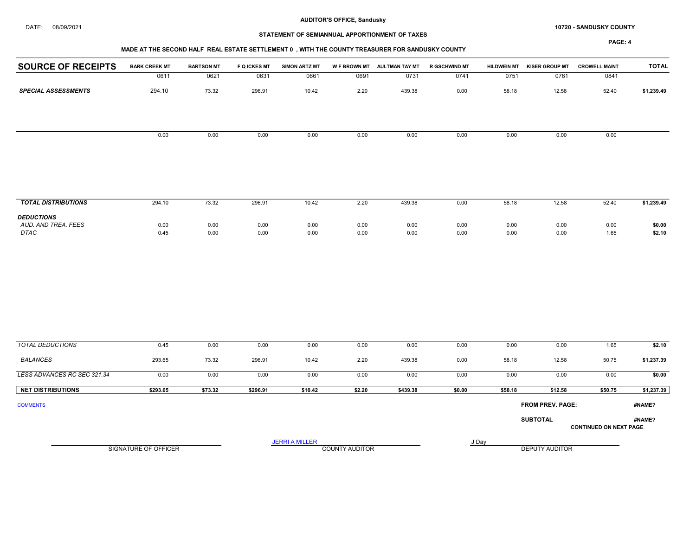#### DATE: 08/09/2021 10720 - SANDUSKY COUNTY

# STATEMENT OF SEMIANNUAL APPORTIONMENT OF TAXES

## MADE AT THE SECOND HALF REAL ESTATE SETTLEMENT 0 , WITH THE COUNTY TREASURER FOR SANDUSKY COUNTY

| <b>SOURCE OF RECEIPTS</b>                        | <b>BARK CREEK MT</b> | <b>BARTSON MT</b> | <b>F Q ICKES MT</b> | <b>SIMON ARTZ MT</b>  |                       | W F BROWN MT AULTMAN TAY MT | <b>R GSCHWIND MT</b> | <b>HILDWEIN MT</b> | <b>KISER GROUP MT</b> | <b>CROWELL MAINT</b>          | <b>TOTAL</b>     |
|--------------------------------------------------|----------------------|-------------------|---------------------|-----------------------|-----------------------|-----------------------------|----------------------|--------------------|-----------------------|-------------------------------|------------------|
|                                                  | 0611                 | 0621              | 0631                | 0661                  | 0691                  | 0731                        | 0741                 | 0751               | 0761                  | 0841                          |                  |
| <b>SPECIAL ASSESSMENTS</b>                       | 294.10               | 73.32             | 296.91              | 10.42                 | 2.20                  | 439.38                      | 0.00                 | 58.18              | 12.58                 | 52.40                         | \$1,239.49       |
|                                                  |                      |                   |                     |                       |                       |                             |                      |                    |                       |                               |                  |
|                                                  | 0.00                 | 0.00              | 0.00                | 0.00                  | 0.00                  | 0.00                        | 0.00                 | 0.00               | 0.00                  | 0.00                          |                  |
|                                                  |                      |                   |                     |                       |                       |                             |                      |                    |                       |                               |                  |
| <b>TOTAL DISTRIBUTIONS</b>                       | 294.10               | 73.32             | 296.91              | 10.42                 | 2.20                  | 439.38                      | 0.00                 | 58.18              | 12.58                 | 52.40                         | \$1,239.49       |
| <b>DEDUCTIONS</b><br>AUD. AND TREA. FEES<br>DTAC | 0.00<br>0.45         | 0.00<br>0.00      | 0.00<br>0.00        | 0.00<br>0.00          | 0.00<br>0.00          | 0.00<br>0.00                | 0.00<br>0.00         | 0.00<br>0.00       | 0.00<br>0.00          | 0.00<br>1.65                  | \$0.00<br>\$2.10 |
|                                                  |                      |                   |                     |                       |                       |                             |                      |                    |                       |                               |                  |
| <b>TOTAL DEDUCTIONS</b>                          | 0.45                 | 0.00              | 0.00                | 0.00                  | 0.00                  | 0.00                        | 0.00                 | 0.00               | 0.00                  | 1.65                          | \$2.10           |
| <b>BALANCES</b>                                  | 293.65               | 73.32             | 296.91              | 10.42                 | 2.20                  | 439.38                      | 0.00                 | 58.18              | 12.58                 | 50.75                         | \$1,237.39       |
| LESS ADVANCES RC SEC 321.34                      | 0.00                 | 0.00              | 0.00                | 0.00                  | 0.00                  | 0.00                        | 0.00                 | 0.00               | 0.00                  | 0.00                          | \$0.00           |
| <b>NET DISTRIBUTIONS</b>                         | \$293.65             | \$73.32           | \$296.91            | \$10.42               | \$2.20                | \$439.38                    | \$0.00               | \$58.18            | \$12.58               | \$50.75                       | \$1,237.39       |
| <b>COMMENTS</b>                                  |                      |                   |                     |                       |                       |                             |                      |                    | FROM PREV. PAGE:      |                               | #NAME?           |
|                                                  |                      |                   |                     |                       |                       |                             |                      |                    | <b>SUBTOTAL</b>       | <b>CONTINUED ON NEXT PAGE</b> | #NAME?           |
|                                                  | SIGNATURE OF OFFICER |                   |                     | <b>JERRI A MILLER</b> | <b>COUNTY AUDITOR</b> |                             |                      | J Day              | <b>DEPUTY AUDITOR</b> |                               |                  |
|                                                  |                      |                   |                     |                       |                       |                             |                      |                    |                       |                               |                  |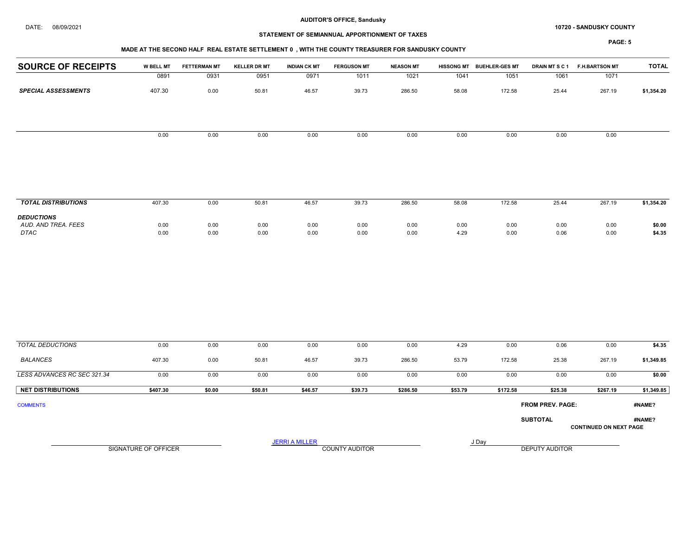#### DATE: 08/09/2021 10720 - SANDUSKY COUNTY

# STATEMENT OF SEMIANNUAL APPORTIONMENT OF TAXES

## MADE AT THE SECOND HALF REAL ESTATE SETTLEMENT 0 , WITH THE COUNTY TREASURER FOR SANDUSKY COUNTY

| <b>SOURCE OF RECEIPTS</b>                        | W BELL MT            | <b>FETTERMAN MT</b> | <b>KELLER DR MT</b> | <b>INDIAN CK MT</b>   | <b>FERGUSON MT</b>    | <b>NEASON MT</b> |              | HISSONG MT BUEHLER-GES MT | DRAIN MTSC1      | <b>F.H.BARTSON MT</b>         | <b>TOTAL</b>     |
|--------------------------------------------------|----------------------|---------------------|---------------------|-----------------------|-----------------------|------------------|--------------|---------------------------|------------------|-------------------------------|------------------|
|                                                  | 0891                 | 0931                | 0951                | 0971                  | 1011                  | 1021             | 1041         | 1051                      | 1061             | 1071                          |                  |
| <b>SPECIAL ASSESSMENTS</b>                       | 407.30               | 0.00                | 50.81               | 46.57                 | 39.73                 | 286.50           | 58.08        | 172.58                    | 25.44            | 267.19                        | \$1,354.20       |
|                                                  |                      |                     |                     |                       |                       |                  |              |                           |                  |                               |                  |
|                                                  | 0.00                 | 0.00                | 0.00                | 0.00                  | 0.00                  | 0.00             | 0.00         | 0.00                      | 0.00             | 0.00                          |                  |
|                                                  |                      |                     |                     |                       |                       |                  |              |                           |                  |                               |                  |
| <b>TOTAL DISTRIBUTIONS</b>                       | 407.30               | 0.00                | 50.81               | 46.57                 | 39.73                 | 286.50           | 58.08        | 172.58                    | 25.44            | 267.19                        | \$1,354.20       |
| <b>DEDUCTIONS</b><br>AUD. AND TREA. FEES<br>DTAC | 0.00<br>0.00         | 0.00<br>0.00        | 0.00<br>0.00        | 0.00<br>0.00          | 0.00<br>0.00          | 0.00<br>0.00     | 0.00<br>4.29 | 0.00<br>0.00              | 0.00<br>0.06     | 0.00<br>0.00                  | \$0.00<br>\$4.35 |
|                                                  |                      |                     |                     |                       |                       |                  |              |                           |                  |                               |                  |
| <b>TOTAL DEDUCTIONS</b>                          | 0.00                 | 0.00                | 0.00                | 0.00                  | 0.00                  | 0.00             | 4.29         | 0.00                      | 0.06             | 0.00                          | \$4.35           |
| <b>BALANCES</b>                                  | 407.30               | 0.00                | 50.81               | 46.57                 | 39.73                 | 286.50           | 53.79        | 172.58                    | 25.38            | 267.19                        | \$1,349.85       |
| LESS ADVANCES RC SEC 321.34                      | 0.00                 | 0.00                | 0.00                | 0.00                  | 0.00                  | 0.00             | 0.00         | 0.00                      | 0.00             | 0.00                          | \$0.00           |
| <b>NET DISTRIBUTIONS</b>                         | \$407.30             | \$0.00              | \$50.81             | \$46.57               | \$39.73               | \$286.50         | \$53.79      | \$172.58                  | \$25.38          | \$267.19                      | \$1,349.85       |
| <b>COMMENTS</b>                                  |                      |                     |                     |                       |                       |                  |              |                           | FROM PREV. PAGE: |                               | #NAME?           |
|                                                  |                      |                     |                     |                       |                       |                  |              |                           | <b>SUBTOTAL</b>  | <b>CONTINUED ON NEXT PAGE</b> | #NAME?           |
|                                                  | SIGNATURE OF OFFICER |                     |                     | <b>JERRI A MILLER</b> | <b>COUNTY AUDITOR</b> |                  |              | J Day                     | DEPUTY AUDITOR   |                               |                  |
|                                                  |                      |                     |                     |                       |                       |                  |              |                           |                  |                               |                  |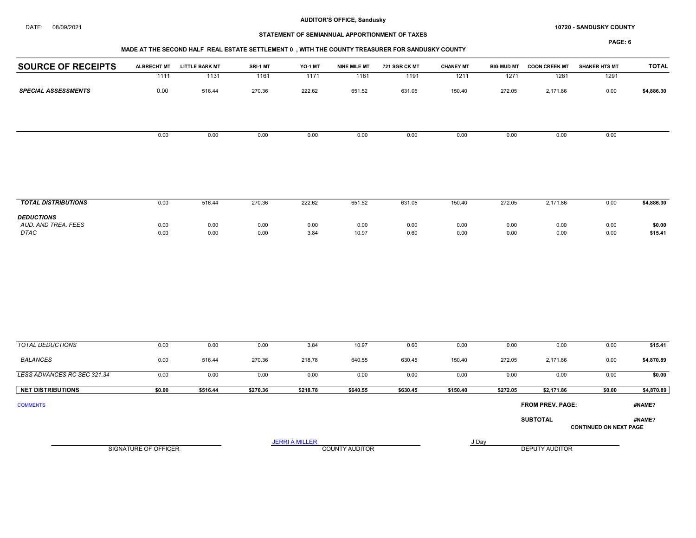#### DATE: 08/09/2021 10720 - SANDUSKY COUNTY

# STATEMENT OF SEMIANNUAL APPORTIONMENT OF TAXES

|                                    |                      | MADE AT THE SECOND HALF REAL ESTATE SETTLEMENT 0, WITH THE COUNTY TREASURER FOR SANDUSKY COUNTY |              |                       |                       |               |                  |                   |                         | <b>PAGE: 6</b>                |                   |
|------------------------------------|----------------------|-------------------------------------------------------------------------------------------------|--------------|-----------------------|-----------------------|---------------|------------------|-------------------|-------------------------|-------------------------------|-------------------|
| <b>SOURCE OF RECEIPTS</b>          | <b>ALBRECHT MT</b>   | <b>LITTLE BARK MT</b>                                                                           | SRI-1 MT     | YO-1 MT               | <b>NINE MILE MT</b>   | 721 SGR CK MT | <b>CHANEY MT</b> | <b>BIG MUD MT</b> | <b>COON CREEK MT</b>    | <b>SHAKER HTS MT</b>          | <b>TOTAL</b>      |
|                                    | 1111                 | 1131                                                                                            | 1161         | 1171                  | 1181                  | 1191          | 1211             | 1271              | 1281                    | 1291                          |                   |
| <b>SPECIAL ASSESSMENTS</b>         | 0.00                 | 516.44                                                                                          | 270.36       | 222.62                | 651.52                | 631.05        | 150.40           | 272.05            | 2,171.86                | 0.00                          | \$4,886.30        |
|                                    | 0.00                 | 0.00                                                                                            | 0.00         | 0.00                  | 0.00                  | 0.00          | 0.00             | 0.00              | 0.00                    | 0.00                          |                   |
| <b>TOTAL DISTRIBUTIONS</b>         | 0.00                 | 516.44                                                                                          | 270.36       | 222.62                | 651.52                | 631.05        | 150.40           | 272.05            | 2,171.86                | 0.00                          | \$4,886.30        |
| <b>DEDUCTIONS</b>                  |                      |                                                                                                 |              |                       |                       |               |                  |                   |                         |                               |                   |
| AUD. AND TREA. FEES<br><b>DTAC</b> | 0.00<br>0.00         | 0.00<br>0.00                                                                                    | 0.00<br>0.00 | 0.00<br>3.84          | 0.00<br>10.97         | 0.00<br>0.60  | 0.00<br>0.00     | 0.00<br>0.00      | 0.00<br>0.00            | 0.00<br>0.00                  | \$0.00<br>\$15.41 |
| <b>TOTAL DEDUCTIONS</b>            | 0.00                 | 0.00                                                                                            | 0.00         | 3.84                  | 10.97                 | 0.60          | 0.00             | 0.00              | 0.00                    | 0.00                          | \$15.41           |
| <b>BALANCES</b>                    |                      |                                                                                                 |              |                       |                       |               |                  |                   |                         |                               |                   |
|                                    | 0.00                 | 516.44                                                                                          | 270.36       | 218.78                | 640.55                | 630.45        | 150.40           | 272.05            | 2,171.86                | 0.00                          | \$4,870.89        |
| LESS ADVANCES RC SEC 321.34        | 0.00                 | 0.00                                                                                            | 0.00         | 0.00                  | 0.00                  | 0.00          | 0.00             | 0.00              | 0.00                    | 0.00                          | \$0.00            |
| <b>NET DISTRIBUTIONS</b>           | \$0.00               | \$516.44                                                                                        | \$270.36     | \$218.78              | \$640.55              | \$630.45      | \$150.40         | \$272.05          | \$2,171.86              | \$0.00                        | \$4,870.89        |
| <b>COMMENTS</b>                    |                      |                                                                                                 |              |                       |                       |               |                  |                   | <b>FROM PREV. PAGE:</b> |                               | #NAME?            |
|                                    |                      |                                                                                                 |              |                       |                       |               |                  |                   | <b>SUBTOTAL</b>         | <b>CONTINUED ON NEXT PAGE</b> | #NAME?            |
|                                    |                      |                                                                                                 |              | <b>JERRI A MILLER</b> |                       |               |                  | J Day             |                         |                               |                   |
|                                    | SIGNATURE OF OFFICER |                                                                                                 |              |                       | <b>COUNTY AUDITOR</b> |               |                  |                   | DEPUTY AUDITOR          |                               |                   |
|                                    |                      |                                                                                                 |              |                       |                       |               |                  |                   |                         |                               |                   |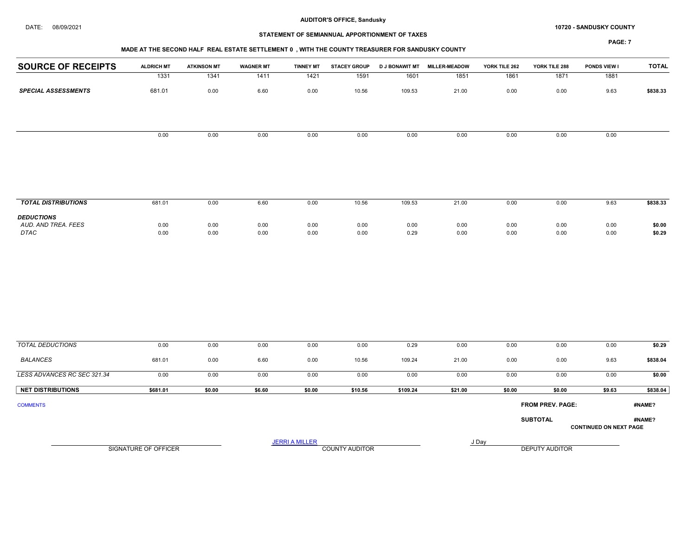#### DATE: 08/09/2021 10720 - SANDUSKY COUNTY

# STATEMENT OF SEMIANNUAL APPORTIONMENT OF TAXES

## MADE AT THE SECOND HALF REAL ESTATE SETTLEMENT 0 , WITH THE COUNTY TREASURER FOR SANDUSKY COUNTY

| <b>SOURCE OF RECEIPTS</b>                        | <b>ALDRICH MT</b>           | <b>ATKINSON MT</b> | <b>WAGNER MT</b> | <b>TINNEY MT</b>      | <b>STACEY GROUP</b>   | <b>D J BONAWIT MT</b> | MILLER-MEADOW | YORK TILE 262 | YORK TILE 288           | PONDS VIEW I                  | <b>TOTAL</b>     |
|--------------------------------------------------|-----------------------------|--------------------|------------------|-----------------------|-----------------------|-----------------------|---------------|---------------|-------------------------|-------------------------------|------------------|
|                                                  | 1331                        | 1341               | 1411             | 1421                  | 1591                  | 1601                  | 1851          | 1861          | 1871                    | 1881                          |                  |
| <b>SPECIAL ASSESSMENTS</b>                       | 681.01                      | 0.00               | 6.60             | 0.00                  | 10.56                 | 109.53                | 21.00         | 0.00          | 0.00                    | 9.63                          | \$838.33         |
|                                                  |                             |                    |                  |                       |                       |                       |               |               |                         |                               |                  |
|                                                  | 0.00                        | 0.00               | 0.00             | 0.00                  | 0.00                  | 0.00                  | 0.00          | 0.00          | 0.00                    | 0.00                          |                  |
|                                                  |                             |                    |                  |                       |                       |                       |               |               |                         |                               |                  |
| <b>TOTAL DISTRIBUTIONS</b>                       | 681.01                      | 0.00               | 6.60             | 0.00                  | 10.56                 | 109.53                | 21.00         | 0.00          | 0.00                    | 9.63                          | \$838.33         |
| <b>DEDUCTIONS</b><br>AUD. AND TREA. FEES<br>DTAC | 0.00<br>0.00                | 0.00<br>0.00       | 0.00<br>0.00     | 0.00<br>0.00          | 0.00<br>0.00          | 0.00<br>0.29          | 0.00<br>0.00  | 0.00<br>0.00  | 0.00<br>0.00            | 0.00<br>0.00                  | \$0.00<br>\$0.29 |
|                                                  |                             |                    |                  |                       |                       |                       |               |               |                         |                               |                  |
| <b>TOTAL DEDUCTIONS</b>                          | 0.00                        | 0.00               | 0.00             | 0.00                  | 0.00                  | 0.29                  | 0.00          | 0.00          | 0.00                    | 0.00                          | \$0.29           |
| <b>BALANCES</b>                                  | 681.01                      | 0.00               | 6.60             | 0.00                  | 10.56                 | 109.24                | 21.00         | 0.00          | 0.00                    | 9.63                          | \$838.04         |
| LESS ADVANCES RC SEC 321.34                      | 0.00                        | 0.00               | 0.00             | 0.00                  | 0.00                  | 0.00                  | 0.00          | 0.00          | 0.00                    | 0.00                          | \$0.00           |
| <b>NET DISTRIBUTIONS</b>                         | \$681.01                    | \$0.00             | \$6.60           | \$0.00                | \$10.56               | \$109.24              | \$21.00       | \$0.00        | \$0.00                  | \$9.63                        | \$838.04         |
| <b>COMMENTS</b>                                  |                             |                    |                  |                       |                       |                       |               |               | <b>FROM PREV. PAGE:</b> |                               | #NAME?           |
|                                                  |                             |                    |                  |                       |                       |                       |               |               | <b>SUBTOTAL</b>         | <b>CONTINUED ON NEXT PAGE</b> | #NAME?           |
|                                                  | <b>SIGNATURE OF OFFICER</b> |                    |                  | <b>JERRI A MILLER</b> | <b>COUNTY AUDITOR</b> |                       |               | J Day         | <b>DEPUTY AUDITOR</b>   |                               |                  |
|                                                  |                             |                    |                  |                       |                       |                       |               |               |                         |                               |                  |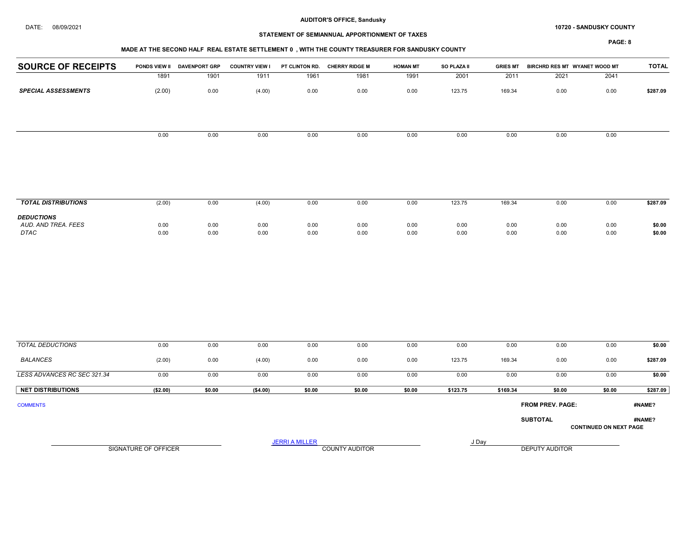#### DATE: 08/09/2021 10720 - SANDUSKY COUNTY

# STATEMENT OF SEMIANNUAL APPORTIONMENT OF TAXES

## MADE AT THE SECOND HALF REAL ESTATE SETTLEMENT 0 , WITH THE COUNTY TREASURER FOR SANDUSKY COUNTY

| <b>SOURCE OF RECEIPTS</b>                        | PONDS VIEW II               | <b>DAVENPORT GRP</b> | <b>COUNTRY VIEW I</b> | PT CLINTON RD.        | <b>CHERRY RIDGE M</b> | <b>HOMAN MT</b> | SO PLAZA II  | <b>GRIES MT</b> | BIRCHRD RES MT WYANET WOOD MT |                               | <b>TOTAL</b>     |
|--------------------------------------------------|-----------------------------|----------------------|-----------------------|-----------------------|-----------------------|-----------------|--------------|-----------------|-------------------------------|-------------------------------|------------------|
|                                                  | 1891                        | 1901                 | 1911                  | 1961                  | 1981                  | 1991            | 2001         | 2011            | 2021                          | 2041                          |                  |
| <b>SPECIAL ASSESSMENTS</b>                       | (2.00)                      | 0.00                 | (4.00)                | 0.00                  | 0.00                  | 0.00            | 123.75       | 169.34          | 0.00                          | 0.00                          | \$287.09         |
|                                                  | 0.00                        | 0.00                 | 0.00                  | 0.00                  | 0.00                  | 0.00            | 0.00         | 0.00            | 0.00                          | 0.00                          |                  |
|                                                  |                             |                      |                       |                       |                       |                 |              |                 |                               |                               |                  |
| <b>TOTAL DISTRIBUTIONS</b>                       | (2.00)                      | 0.00                 | (4.00)                | 0.00                  | 0.00                  | 0.00            | 123.75       | 169.34          | 0.00                          | 0.00                          | \$287.09         |
| <b>DEDUCTIONS</b><br>AUD. AND TREA. FEES<br>DTAC | 0.00<br>0.00                | 0.00<br>0.00         | 0.00<br>0.00          | 0.00<br>0.00          | $0.00\,$<br>$0.00\,$  | 0.00<br>0.00    | 0.00<br>0.00 | 0.00<br>0.00    | 0.00<br>0.00                  | 0.00<br>0.00                  | \$0.00<br>\$0.00 |
|                                                  |                             |                      |                       |                       |                       |                 |              |                 |                               |                               |                  |
| <b>TOTAL DEDUCTIONS</b>                          | 0.00                        | 0.00                 | 0.00                  | 0.00                  | 0.00                  | 0.00            | 0.00         | 0.00            | 0.00                          | 0.00                          | \$0.00           |
| <b>BALANCES</b>                                  | (2.00)                      | 0.00                 | (4.00)                | 0.00                  | 0.00                  | 0.00            | 123.75       | 169.34          | 0.00                          | 0.00                          | \$287.09         |
| LESS ADVANCES RC SEC 321.34                      | 0.00                        | 0.00                 | 0.00                  | 0.00                  | 0.00                  | 0.00            | 0.00         | 0.00            | 0.00                          | 0.00                          | \$0.00           |
| <b>NET DISTRIBUTIONS</b>                         | (\$2.00)                    | \$0.00               | (\$4.00)              | \$0.00                | \$0.00                | \$0.00          | \$123.75     | \$169.34        | \$0.00                        | \$0.00                        | \$287.09         |
| <b>COMMENTS</b>                                  |                             |                      |                       |                       |                       |                 |              |                 | FROM PREV. PAGE:              |                               | #NAME?           |
|                                                  |                             |                      |                       |                       |                       |                 |              |                 | <b>SUBTOTAL</b>               | <b>CONTINUED ON NEXT PAGE</b> | #NAME?           |
|                                                  | <b>SIGNATURE OF OFFICER</b> |                      |                       | <b>JERRI A MILLER</b> | <b>COUNTY AUDITOR</b> |                 | J Day        |                 | <b>DEPUTY AUDITOR</b>         |                               |                  |
|                                                  |                             |                      |                       |                       |                       |                 |              |                 |                               |                               |                  |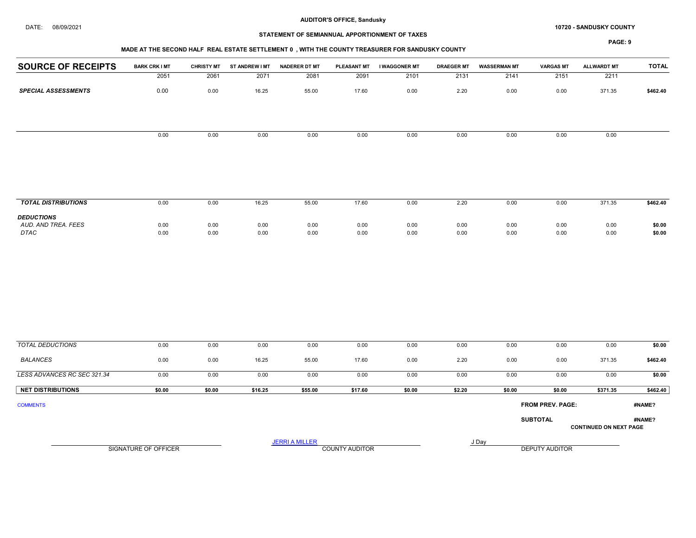#### DATE: 08/09/2021 10720 - SANDUSKY COUNTY

## STATEMENT OF SEMIANNUAL APPORTIONMENT OF TAXES

## MADE AT THE SECOND HALF REAL ESTATE SETTLEMENT 0 , WITH THE COUNTY TREASURER FOR SANDUSKY COUNTY

| <b>SOURCE OF RECEIPTS</b>                | <b>BARK CRK I MT</b> | <b>CHRISTY MT</b> | ST ANDREW I MT | <b>NADERER DT MT</b>  |                | PLEASANT MT I WAGGONER MT | <b>DRAEGER MT</b> | <b>WASSERMAN MT</b> | <b>VARGAS MT</b>        | <b>ALLWARDT MT</b>            | <b>TOTAL</b> |
|------------------------------------------|----------------------|-------------------|----------------|-----------------------|----------------|---------------------------|-------------------|---------------------|-------------------------|-------------------------------|--------------|
|                                          | 2051                 | 2061              | 2071           | 2081                  | 2091           | 2101                      | 2131              | 2141                | 2151                    | 2211                          |              |
| <b>SPECIAL ASSESSMENTS</b>               | 0.00                 | 0.00              | 16.25          | 55.00                 | 17.60          | 0.00                      | 2.20              | 0.00                | 0.00                    | 371.35                        | \$462.40     |
|                                          |                      |                   |                |                       |                |                           |                   |                     |                         |                               |              |
|                                          | 0.00                 | 0.00              | 0.00           | 0.00                  | 0.00           | 0.00                      | 0.00              | 0.00                | 0.00                    | 0.00                          |              |
|                                          |                      |                   |                |                       |                |                           |                   |                     |                         |                               |              |
|                                          |                      |                   |                |                       |                |                           |                   |                     |                         |                               |              |
| <b>TOTAL DISTRIBUTIONS</b>               | 0.00                 | 0.00              | 16.25          | 55.00                 | 17.60          | 0.00                      | 2.20              | 0.00                | 0.00                    | 371.35                        | \$462.40     |
| <b>DEDUCTIONS</b><br>AUD. AND TREA. FEES | 0.00                 | 0.00              | 0.00           | 0.00                  | 0.00           | 0.00                      | 0.00              | 0.00                | 0.00                    | 0.00                          | \$0.00       |
| DTAC                                     | 0.00                 | 0.00              | 0.00           | 0.00                  | 0.00           | 0.00                      | 0.00              | 0.00                | 0.00                    | 0.00                          | \$0.00       |
|                                          |                      |                   |                |                       |                |                           |                   |                     |                         |                               |              |
| <b>TOTAL DEDUCTIONS</b>                  | 0.00                 | 0.00              | 0.00           | 0.00                  | 0.00           | 0.00                      | 0.00              | 0.00                | 0.00                    | 0.00                          | \$0.00       |
| <b>BALANCES</b>                          | 0.00                 | 0.00              | 16.25          | 55.00                 | 17.60          | 0.00                      | 2.20              | 0.00                | 0.00                    | 371.35                        | \$462.40     |
| LESS ADVANCES RC SEC 321.34              | 0.00                 | 0.00              | 0.00           | 0.00                  | 0.00           | 0.00                      | 0.00              | 0.00                | 0.00                    | 0.00                          | \$0.00       |
| <b>NET DISTRIBUTIONS</b>                 | \$0.00               | \$0.00            | \$16.25        | \$55.00               | \$17.60        | \$0.00                    | \$2.20            | \$0.00              | \$0.00                  | \$371.35                      | \$462.40     |
| <b>COMMENTS</b>                          |                      |                   |                |                       |                |                           |                   |                     | <b>FROM PREV. PAGE:</b> |                               | #NAME?       |
|                                          |                      |                   |                |                       |                |                           |                   |                     | <b>SUBTOTAL</b>         | <b>CONTINUED ON NEXT PAGE</b> | #NAME?       |
|                                          | SIGNATURE OF OFFICER |                   |                | <b>JERRI A MILLER</b> | COUNTY AUDITOR |                           |                   | J Day               | DEPUTY AUDITOR          |                               |              |
|                                          |                      |                   |                |                       |                |                           |                   |                     |                         |                               |              |
|                                          |                      |                   |                |                       |                |                           |                   |                     |                         |                               |              |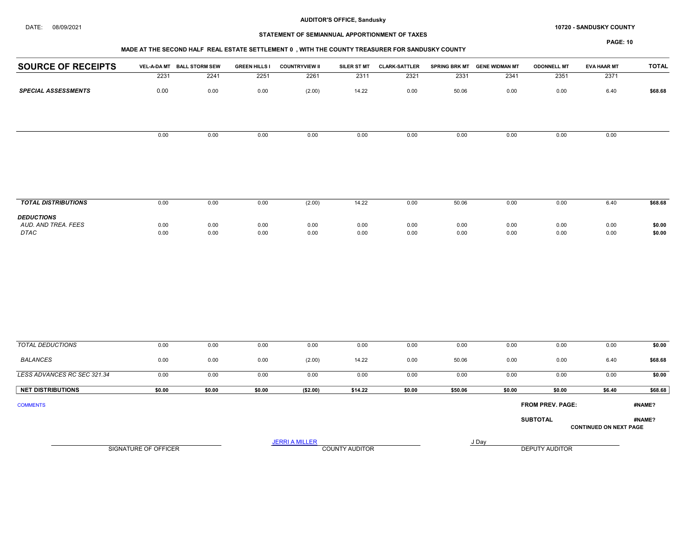#### DATE: 08/09/2021 10720 - SANDUSKY COUNTY

# STATEMENT OF SEMIANNUAL APPORTIONMENT OF TAXES

#### MADE AT THE SECOND HALF REAL ESTATE SETTLEMENT 0 , WITH THE COUNTY TREASURER FOR SANDUSKY COUNTY

| <b>SOURCE OF RECEIPTS</b>   |                      | VEL-A-DA MT BALL STORM SEW | <b>GREEN HILLS I</b> | <b>COUNTRYVIEW II</b> | SILER ST MT    | <b>CLARK-SATTLER</b> |              | SPRING BRK MT GENE WIDMAN MT | <b>ODONNELL MT</b> | <b>EVA HAAR MT</b>            | <b>TOTAL</b>     |
|-----------------------------|----------------------|----------------------------|----------------------|-----------------------|----------------|----------------------|--------------|------------------------------|--------------------|-------------------------------|------------------|
|                             | 2231                 | 2241                       | 2251                 | 2261                  | 2311           | 2321                 | 2331         | 2341                         | 2351               | 2371                          |                  |
| <b>SPECIAL ASSESSMENTS</b>  | 0.00                 | 0.00                       | 0.00                 | (2.00)                | 14.22          | 0.00                 | 50.06        | 0.00                         | 0.00               | 6.40                          | \$68.68          |
|                             |                      |                            |                      |                       |                |                      |              |                              |                    |                               |                  |
|                             | 0.00                 | 0.00                       | 0.00                 | 0.00                  | 0.00           | 0.00                 | 0.00         | 0.00                         | 0.00               | 0.00                          |                  |
| <b>TOTAL DISTRIBUTIONS</b>  | 0.00                 | 0.00                       | 0.00                 | (2.00)                | 14.22          | 0.00                 | 50.06        | 0.00                         | 0.00               | 6.40                          | \$68.68          |
| <b>DEDUCTIONS</b>           |                      |                            |                      |                       |                |                      |              |                              |                    |                               |                  |
| AUD. AND TREA. FEES<br>DTAC | 0.00<br>0.00         | 0.00<br>0.00               | 0.00<br>0.00         | 0.00<br>0.00          | 0.00<br>0.00   | 0.00<br>0.00         | 0.00<br>0.00 | 0.00<br>0.00                 | 0.00<br>0.00       | 0.00<br>0.00                  | \$0.00<br>\$0.00 |
|                             |                      |                            |                      |                       |                |                      |              |                              |                    |                               |                  |
| <b>TOTAL DEDUCTIONS</b>     | 0.00                 | 0.00                       | 0.00                 | 0.00                  | 0.00           | 0.00                 | 0.00         | 0.00                         | 0.00               | 0.00                          | \$0.00           |
| <b>BALANCES</b>             | 0.00                 | 0.00                       | 0.00                 | (2.00)                | 14.22          | 0.00                 | 50.06        | 0.00                         | 0.00               | 6.40                          | \$68.68          |
| LESS ADVANCES RC SEC 321.34 | 0.00                 | 0.00                       | 0.00                 | 0.00                  | 0.00           | 0.00                 | 0.00         | 0.00                         | 0.00               | 0.00                          | \$0.00           |
| <b>NET DISTRIBUTIONS</b>    | \$0.00               | \$0.00                     | \$0.00               | (\$2.00)              | \$14.22        | \$0.00               | \$50.06      | \$0.00                       | \$0.00             | \$6.40                        | \$68.68          |
| <b>COMMENTS</b>             |                      |                            |                      |                       |                |                      |              |                              | FROM PREV. PAGE:   |                               | #NAME?           |
|                             |                      |                            |                      |                       |                |                      |              |                              | <b>SUBTOTAL</b>    | <b>CONTINUED ON NEXT PAGE</b> | #NAME?           |
|                             |                      |                            |                      | <b>JERRI A MILLER</b> |                |                      |              | J Day                        |                    |                               |                  |
|                             | SIGNATURE OF OFFICER |                            |                      |                       | COUNTY AUDITOR |                      |              |                              | DEPUTY AUDITOR     |                               |                  |
|                             |                      |                            |                      |                       |                |                      |              |                              |                    |                               |                  |
|                             |                      |                            |                      |                       |                |                      |              |                              |                    |                               |                  |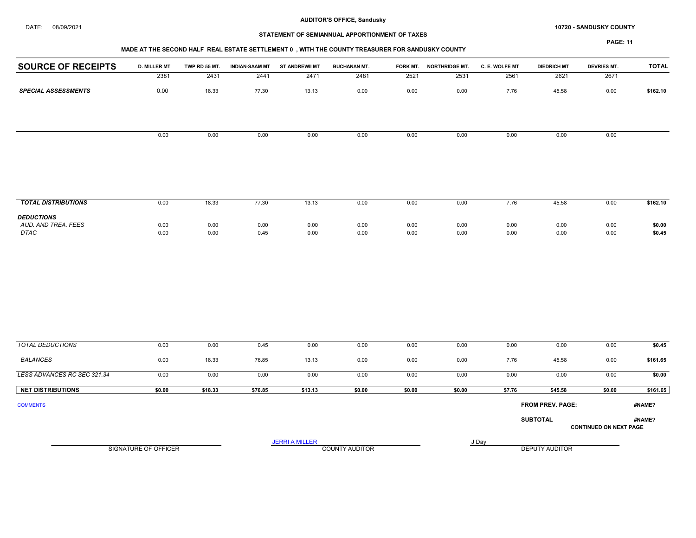#### DATE: 08/09/2021 10720 - SANDUSKY COUNTY

# STATEMENT OF SEMIANNUAL APPORTIONMENT OF TAXES

# MADE AT THE SECOND HALF REAL ESTATE SETTLEMENT 0 , WITH THE COUNTY TREASURER FOR SANDUSKY COUNTY

| <b>SOURCE OF RECEIPTS</b>   | <b>D. MILLER MT</b>         | TWP RD 55 MT. | <b>INDIAN-SAAM MT</b> | <b>ST ANDREWII MT</b> | <b>BUCHANAN MT.</b>   | FORK MT.     | <b>NORTHRIDGE MT.</b> | C. E. WOLFE MT | <b>DIEDRICH MT</b>    | <b>DEVRIES MT.</b>            | <b>TOTAL</b>     |
|-----------------------------|-----------------------------|---------------|-----------------------|-----------------------|-----------------------|--------------|-----------------------|----------------|-----------------------|-------------------------------|------------------|
|                             | 2381                        | 2431          | 2441                  | 2471                  | 2481                  | 2521         | 2531                  | 2561           | 2621                  | 2671                          |                  |
| <b>SPECIAL ASSESSMENTS</b>  | 0.00                        | 18.33         | 77.30                 | 13.13                 | 0.00                  | 0.00         | 0.00                  | 7.76           | 45.58                 | 0.00                          | \$162.10         |
|                             |                             |               |                       |                       |                       |              |                       |                |                       |                               |                  |
|                             | 0.00                        | 0.00          | 0.00                  | 0.00                  | 0.00                  | 0.00         | 0.00                  | 0.00           | 0.00                  | 0.00                          |                  |
|                             |                             |               |                       |                       |                       |              |                       |                |                       |                               |                  |
| <b>TOTAL DISTRIBUTIONS</b>  | 0.00                        | 18.33         | 77.30                 | 13.13                 | 0.00                  | 0.00         | 0.00                  | 7.76           | 45.58                 | 0.00                          | \$162.10         |
| <b>DEDUCTIONS</b>           |                             |               |                       |                       |                       |              |                       |                |                       |                               |                  |
| AUD. AND TREA. FEES<br>DTAC | 0.00<br>0.00                | 0.00<br>0.00  | 0.00<br>0.45          | 0.00<br>0.00          | 0.00<br>0.00          | 0.00<br>0.00 | 0.00<br>0.00          | 0.00<br>0.00   | 0.00<br>0.00          | 0.00<br>0.00                  | \$0.00<br>\$0.45 |
|                             |                             |               |                       |                       |                       |              |                       |                |                       |                               |                  |
| <b>TOTAL DEDUCTIONS</b>     | 0.00                        | 0.00          | 0.45                  | 0.00                  | 0.00                  | 0.00         | 0.00                  | 0.00           | 0.00                  | 0.00                          | \$0.45           |
| <b>BALANCES</b>             | 0.00                        | 18.33         | 76.85                 | 13.13                 | 0.00                  | 0.00         | 0.00                  | 7.76           | 45.58                 | 0.00                          | \$161.65         |
| LESS ADVANCES RC SEC 321.34 | 0.00                        | 0.00          | 0.00                  | 0.00                  | 0.00                  | 0.00         | 0.00                  | 0.00           | 0.00                  | 0.00                          | \$0.00           |
| <b>NET DISTRIBUTIONS</b>    | \$0.00                      | \$18.33       | \$76.85               | \$13.13               | \$0.00                | \$0.00       | \$0.00                | \$7.76         | \$45.58               | \$0.00                        | \$161.65         |
| <b>COMMENTS</b>             |                             |               |                       |                       |                       |              |                       |                | FROM PREV. PAGE:      |                               | #NAME?           |
|                             |                             |               |                       |                       |                       |              |                       |                | <b>SUBTOTAL</b>       | <b>CONTINUED ON NEXT PAGE</b> | #NAME?           |
|                             |                             |               |                       | <b>JERRI A MILLER</b> |                       |              |                       | J Day          |                       |                               |                  |
|                             | <b>SIGNATURE OF OFFICER</b> |               |                       |                       | <b>COUNTY AUDITOR</b> |              |                       |                | <b>DEPUTY AUDITOR</b> |                               |                  |
|                             |                             |               |                       |                       |                       |              |                       |                |                       |                               |                  |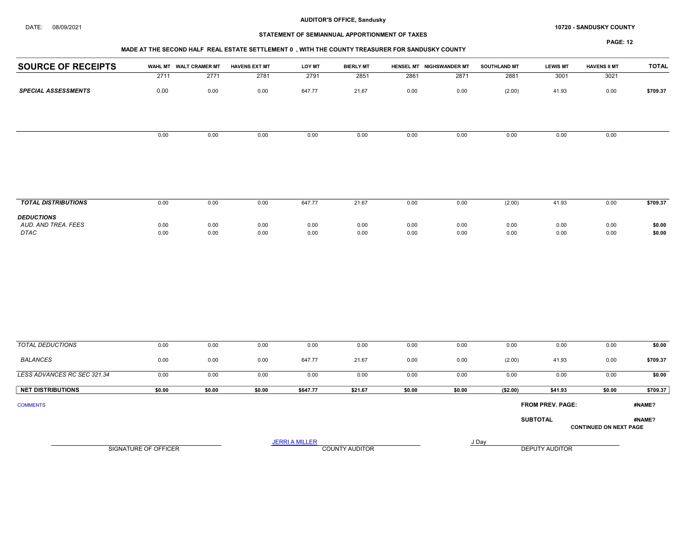#### DATE: 08/09/2021 10720 - SANDUSKY COUNTY

# STATEMENT OF SEMIANNUAL APPORTIONMENT OF TAXES

## MADE AT THE SECOND HALF REAL ESTATE SETTLEMENT 0 , WITH THE COUNTY TREASURER FOR SANDUSKY COUNTY

| <b>SOURCE OF RECEIPTS</b>   |              | WAHL MT WALT CRAMER MT | <b>HAVENS EXT MT</b> | <b>LOY MT</b>         | <b>BIERLY MT</b>      |              | HENSEL MT NIGHSWANDER MT | <b>SOUTHLAND MT</b> | <b>LEWIS MT</b>       | <b>HAVENS II MT</b>           | <b>TOTAL</b>     |
|-----------------------------|--------------|------------------------|----------------------|-----------------------|-----------------------|--------------|--------------------------|---------------------|-----------------------|-------------------------------|------------------|
|                             | 2711         | 2771                   | 2781                 | 2791                  | 2851                  | 2861         | 2871                     | 2881                | 3001                  | 3021                          |                  |
| <b>SPECIAL ASSESSMENTS</b>  | 0.00         | 0.00                   | 0.00                 | 647.77                | 21.67                 | 0.00         | 0.00                     | (2.00)              | 41.93                 | 0.00                          | \$709.37         |
|                             | 0.00         | 0.00                   | 0.00                 | 0.00                  | 0.00                  | 0.00         | 0.00                     | 0.00                | 0.00                  | 0.00                          |                  |
|                             |              |                        |                      |                       |                       |              |                          |                     |                       |                               |                  |
| <b>TOTAL DISTRIBUTIONS</b>  | 0.00         | 0.00                   | 0.00                 | 647.77                | 21.67                 | 0.00         | 0.00                     | (2.00)              | 41.93                 | 0.00                          | \$709.37         |
| <b>DEDUCTIONS</b>           |              |                        |                      |                       |                       |              |                          |                     |                       |                               |                  |
| AUD. AND TREA. FEES<br>DTAC | 0.00<br>0.00 | 0.00<br>0.00           | 0.00<br>0.00         | 0.00<br>0.00          | 0.00<br>0.00          | 0.00<br>0.00 | 0.00<br>0.00             | 0.00<br>0.00        | 0.00<br>0.00          | 0.00<br>0.00                  | \$0.00<br>\$0.00 |
|                             |              |                        |                      |                       |                       |              |                          |                     |                       |                               |                  |
| <b>TOTAL DEDUCTIONS</b>     | 0.00         | 0.00                   | 0.00                 | 0.00                  | 0.00                  | 0.00         | 0.00                     | 0.00                | 0.00                  | 0.00                          | \$0.00           |
| <b>BALANCES</b>             | 0.00         | 0.00                   | 0.00                 | 647.77                | 21.67                 | 0.00         | 0.00                     | (2.00)              | 41.93                 | 0.00                          | \$709.37         |
| LESS ADVANCES RC SEC 321.34 | 0.00         | 0.00                   | 0.00                 | 0.00                  | 0.00                  | 0.00         | 0.00                     | 0.00                | 0.00                  | 0.00                          | \$0.00           |
| <b>NET DISTRIBUTIONS</b>    | \$0.00       | \$0.00                 | \$0.00               | \$647.77              | \$21.67               | \$0.00       | \$0.00                   | (\$2.00)            | \$41.93               | \$0.00                        | \$709.37         |
| <b>COMMENTS</b>             |              |                        |                      |                       |                       |              |                          |                     | FROM PREV. PAGE:      |                               | #NAME?           |
|                             |              |                        |                      |                       |                       |              |                          |                     | <b>SUBTOTAL</b>       | <b>CONTINUED ON NEXT PAGE</b> | #NAME?           |
|                             |              | SIGNATURE OF OFFICER   |                      | <b>JERRI A MILLER</b> | <b>COUNTY AUDITOR</b> |              |                          | J Day               | <b>DEPUTY AUDITOR</b> |                               |                  |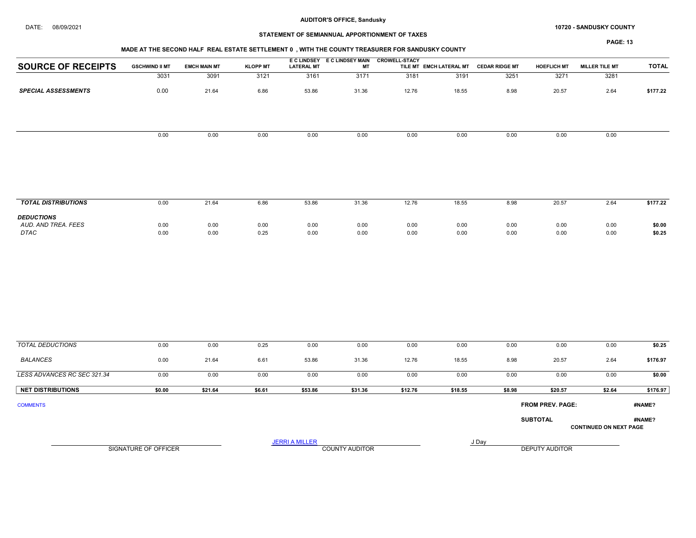#### DATE: 08/09/2021 10720 - SANDUSKY COUNTY

## STATEMENT OF SEMIANNUAL APPORTIONMENT OF TAXES

# PAGE: 13

| <b>SOURCE OF RECEIPTS</b>  | <b>GSCHWIND II MT</b> | <b>EMCH MAIN MT</b> | <b>KLOPP MT</b> | <b>LATERAL MT</b> | E CLINDSEY E CLINDSEY MAIN<br>МT | <b>CROWELL-STACY</b> | TILE MT EMCH LATERAL MT | <b>CEDAR RIDGE MT</b> | <b>HOEFLICH MT</b> | <b>MILLER TILE MT</b> | <b>TOTAL</b> |
|----------------------------|-----------------------|---------------------|-----------------|-------------------|----------------------------------|----------------------|-------------------------|-----------------------|--------------------|-----------------------|--------------|
|                            | 3031                  | 3091                | 3121            | 3161              | 3171                             | 3181                 | 3191                    | 3251                  | 3271               | 3281                  |              |
| <b>SPECIAL ASSESSMENTS</b> | 0.00                  | 21.64               | 6.86            | 53.86             | 31.36                            | 12.76                | 18.55                   | 8.98                  | 20.57              | 2.64                  | \$177.22     |
|                            |                       |                     |                 |                   |                                  |                      |                         |                       |                    |                       |              |
|                            | 0.00                  | 0.00                | 0.00            | 0.00              | 0.00                             | 0.00                 | 0.00                    | 0.00                  | 0.00               | 0.00                  |              |
|                            |                       |                     |                 |                   |                                  |                      |                         |                       |                    |                       |              |
|                            |                       |                     |                 |                   |                                  |                      |                         |                       |                    |                       |              |

| <b>TOTAL DISTRIBUTIONS</b>                              | 0.00         | 21.64        | 6.86         | 53.86        | 31.36        | 12.76        | 18.55        | 8.98         | 20.5         | 2.64         | \$177.22         |
|---------------------------------------------------------|--------------|--------------|--------------|--------------|--------------|--------------|--------------|--------------|--------------|--------------|------------------|
|                                                         |              |              |              |              |              |              |              |              |              |              |                  |
| <b>DEDUCTIONS</b><br>AUD. AND TREA. FEES<br><b>DTAC</b> | 0.00<br>0.00 | 0.00<br>0.00 | 0.00<br>0.25 | 0.00<br>0.00 | 0.00<br>0.00 | 0.00<br>0.00 | 0.00<br>0.00 | 0.00<br>0.00 | 0.00<br>0.00 | 0.00<br>0.00 | \$0.00<br>\$0.25 |

| TOTAL DEDUCTIONS            | 0.00   | 0.00    | 0.25   | 0.00    | 0.00    | 0.00    | 0.00    | 0.00   | 0.00                    | 0.00                          | \$0.25   |
|-----------------------------|--------|---------|--------|---------|---------|---------|---------|--------|-------------------------|-------------------------------|----------|
| <b>BALANCES</b>             | 0.00   | 21.64   | 6.61   | 53.86   | 31.36   | 12.76   | 18.55   | 8.98   | 20.57                   | 2.64                          | \$176.97 |
| LESS ADVANCES RC SEC 321.34 | 0.00   | 0.00    | 0.00   | 0.00    | 0.00    | 0.00    | 0.00    | 0.00   | 0.00                    | 0.00                          | \$0.00   |
| <b>NET DISTRIBUTIONS</b>    | \$0.00 | \$21.64 | \$6.61 | \$53.86 | \$31.36 | \$12.76 | \$18.55 | \$8.98 | \$20.57                 | \$2.64                        | \$176.97 |
| <b>COMMENTS</b>             |        |         |        |         |         |         |         |        | <b>FROM PREV. PAGE:</b> |                               | #NAME?   |
|                             |        |         |        |         |         |         |         |        | <b>SUBTOTAL</b>         | <b>CONTINUED ON NEXT PAGE</b> | #NAME?   |

SIGNATURE OF OFFICER **EXECUTE A RELATION COUNTY AUDITOR** COUNTY AUDITOR **DEPUTY AUDITOR** 

JERRI A MILLER COUNTY AUDITOR **FOUR SERVICE ASSAULT**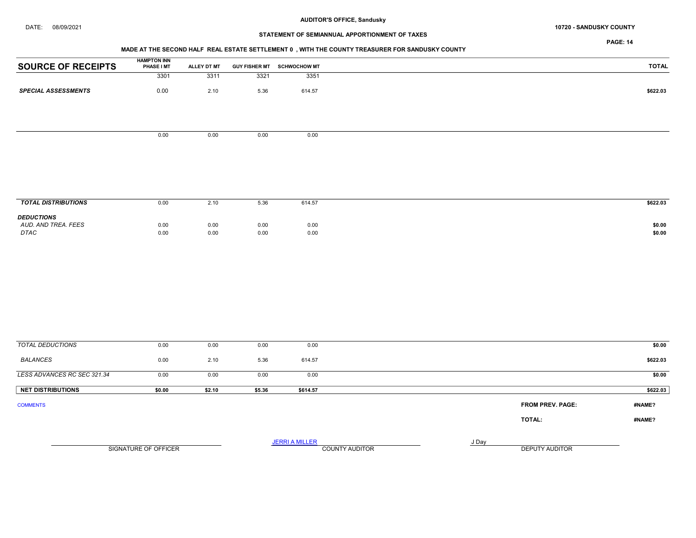# DATE: 08/09/2021 10720 - SANDUSKY COUNTY

# STATEMENT OF SEMIANNUAL APPORTIONMENT OF TAXES

PAGE: 14

## MADE AT THE SECOND HALF REAL ESTATE SETTLEMENT 0 , WITH THE COUNTY TREASURER FOR SANDUSKY COUNTY

| <b>SOURCE OF RECEIPTS</b>                | <b>HAMPTON INN<br/>PHASE I MT</b> | ALLEY DT MT |        | GUY FISHER MT SCHWOCHOW MT |                                                         | <b>TOTAL</b> |
|------------------------------------------|-----------------------------------|-------------|--------|----------------------------|---------------------------------------------------------|--------------|
|                                          | 3301                              | 3311        | 3321   | 3351                       |                                                         |              |
| <b>SPECIAL ASSESSMENTS</b>               | 0.00                              | 2.10        | 5.36   | 614.57                     |                                                         | \$622.03     |
|                                          |                                   |             |        |                            |                                                         |              |
|                                          |                                   |             |        |                            |                                                         |              |
|                                          | 0.00                              | 0.00        | 0.00   | 0.00                       |                                                         |              |
|                                          |                                   |             |        |                            |                                                         |              |
|                                          |                                   |             |        |                            |                                                         |              |
|                                          |                                   |             |        |                            |                                                         |              |
|                                          |                                   |             |        |                            |                                                         |              |
| <b>TOTAL DISTRIBUTIONS</b>               | 0.00                              | 2.10        | 5.36   | 614.57                     |                                                         | \$622.03     |
| <b>DEDUCTIONS</b><br>AUD. AND TREA. FEES | 0.00                              | 0.00        | 0.00   | 0.00                       |                                                         | \$0.00       |
| $\ensuremath{\mathsf{DTAC}}$             | 0.00                              | 0.00        | 0.00   | 0.00                       |                                                         | \$0.00       |
|                                          |                                   |             |        |                            |                                                         |              |
|                                          |                                   |             |        |                            |                                                         |              |
|                                          |                                   |             |        |                            |                                                         |              |
|                                          |                                   |             |        |                            |                                                         |              |
|                                          |                                   |             |        |                            |                                                         |              |
|                                          |                                   |             |        |                            |                                                         |              |
|                                          |                                   |             |        |                            |                                                         |              |
| <b>TOTAL DEDUCTIONS</b>                  | 0.00                              | 0.00        | 0.00   | 0.00                       |                                                         | \$0.00       |
| <b>BALANCES</b>                          | 0.00                              | 2.10        | 5.36   | 614.57                     |                                                         | \$622.03     |
|                                          |                                   |             |        |                            |                                                         |              |
| LESS ADVANCES RC SEC 321.34              | 0.00                              | 0.00        | 0.00   | 0.00                       |                                                         | \$0.00       |
| <b>NET DISTRIBUTIONS</b>                 | \$0.00                            | \$2.10      | \$5.36 | \$614.57                   |                                                         | \$622.03     |
| <b>COMMENTS</b>                          |                                   |             |        |                            | <b>FROM PREV. PAGE:</b>                                 | #NAME?       |
|                                          |                                   |             |        |                            | TOTAL:                                                  | #NAME?       |
|                                          |                                   |             |        |                            |                                                         |              |
|                                          | SIGNATURE OF OFFICER              |             |        | <b>JERRI A MILLER</b>      | J Day<br><b>COUNTY AUDITOR</b><br><b>DEPUTY AUDITOR</b> |              |
|                                          |                                   |             |        |                            |                                                         |              |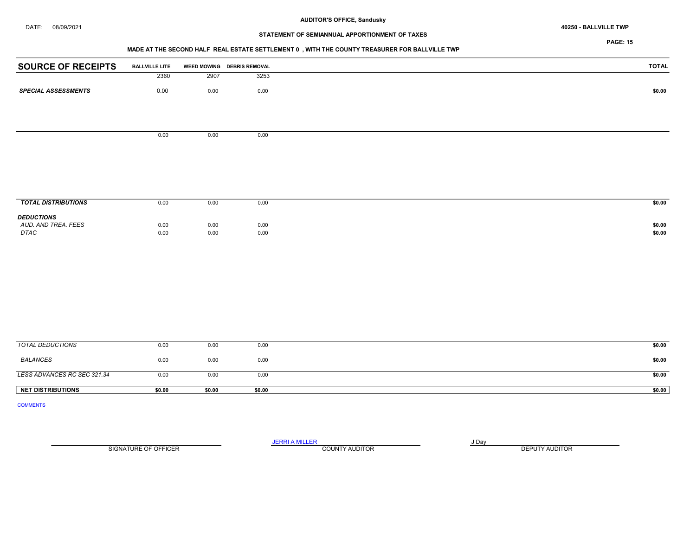# STATEMENT OF SEMIANNUAL APPORTIONMENT OF TAXES

PAGE: 15

#### MADE AT THE SECOND HALF REAL ESTATE SETTLEMENT 0 , WITH THE COUNTY TREASURER FOR BALLVILLE TWP

| <b>SOURCE OF RECEIPTS</b>  | <b>BALLVILLE LITE</b> |      | WEED MOWING DEBRIS REMOVAL |  |
|----------------------------|-----------------------|------|----------------------------|--|
|                            | 2360                  | 2907 | 3253                       |  |
| <b>SPECIAL ASSESSMENTS</b> |                       | 0.00 | 0.00                       |  |
|                            | 0.00                  |      |                            |  |
|                            |                       |      |                            |  |
|                            |                       |      |                            |  |
|                            |                       |      |                            |  |
|                            | 0.00                  | 0.00 | 0.00                       |  |
|                            |                       |      |                            |  |
|                            |                       |      |                            |  |
|                            |                       |      |                            |  |
|                            |                       |      |                            |  |
|                            |                       |      |                            |  |
|                            |                       |      |                            |  |
| <b>TOTAL DISTRIBUTIONS</b> | 0.00                  | 0.00 | 0.00                       |  |
| <b>DEDUCTIONS</b>          |                       |      |                            |  |
| AUD. AND TREA. FEES        | 0.00                  | 0.00 | 0.00                       |  |
| DTAC                       | 0.00                  | 0.00 | 0.00                       |  |
|                            |                       |      |                            |  |
|                            |                       |      |                            |  |
|                            |                       |      |                            |  |
|                            |                       |      |                            |  |
|                            |                       |      |                            |  |
|                            |                       |      |                            |  |
|                            |                       |      |                            |  |
|                            |                       |      |                            |  |
|                            |                       |      |                            |  |
|                            |                       |      |                            |  |

| <b>NET DISTRIBUTIONS</b>    | \$0.00 | \$0.00 | \$0.00 | \$0.00 |
|-----------------------------|--------|--------|--------|--------|
| LESS ADVANCES RC SEC 321.34 | 0.00   | 0.00   | 0.00   | \$0.00 |
| BALANCES                    | 0.00   | 0.00   | 0.00   | \$0.00 |
| TOTAL DEDUCTIONS            | 0.00   | 0.00   | 0.00   | \$0.00 |

COMMENTS

SIGNATURE OF OFFICER **EXECUTE A RELATION COUNTY AUDITOR** COUNTY AUDITOR **DEPUTY AUDITOR** 

JERRI A MILLER COUNTY AUDITOR **FOUND A SERVICE ASSAULT**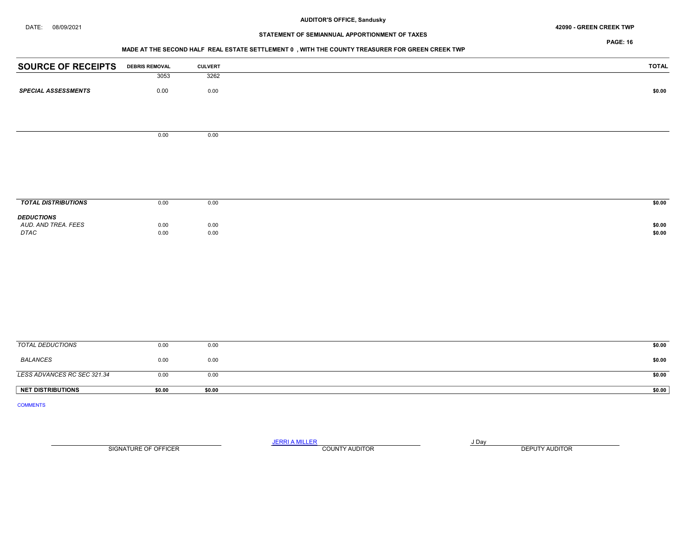#### DATE: 08/09/2021 42090 - GREEN CREEK TWP

# STATEMENT OF SEMIANNUAL APPORTIONMENT OF TAXES

PAGE: 16

## MADE AT THE SECOND HALF REAL ESTATE SETTLEMENT 0 , WITH THE COUNTY TREASURER FOR GREEN CREEK TWP

| <b>SOURCE OF RECEIPTS</b>  | <b>DEBRIS REMOVAL</b> | <b>CULVERT</b> | <b>TOTAL</b> |
|----------------------------|-----------------------|----------------|--------------|
|                            | 3053                  | 3262           |              |
| <b>SPECIAL ASSESSMENTS</b> | 0.00                  | 0.00           | \$0.00       |
|                            |                       |                |              |
|                            | 0.00                  | 0.00           |              |
|                            |                       |                |              |
|                            |                       |                |              |
|                            |                       |                |              |
|                            |                       |                |              |
| <b>TOTAL DISTRIBUTIONS</b> | 0.00                  | 0.00           | \$0.00       |
| <b>DEDUCTIONS</b>          |                       |                |              |
| AUD. AND TREA. FEES        | 0.00                  | 0.00           | \$0.00       |
| DTAC                       | 0.00                  | 0.00           | \$0.00       |
|                            |                       |                |              |
|                            |                       |                |              |
|                            |                       |                |              |
|                            |                       |                |              |
|                            |                       |                |              |
|                            |                       |                |              |
| <b>TOTAL DEDUCTIONS</b>    | 0.00                  | 0.00           | \$0.00       |

| <b>NET DISTRIBUTIONS</b>    | \$0.00 | \$0.00 | \$0.00 |  |
|-----------------------------|--------|--------|--------|--|
| LESS ADVANCES RC SEC 321.34 | 0.00   | 0.00   | \$0.00 |  |
| <b>BALANCES</b>             | 0.00   | 0.00   | \$0.00 |  |
|                             |        |        |        |  |

COMMENTS

JERRI A MILLER COUNTY AUDITOR **Finally SERVICE SERVICE OF A SERVICE OF A SERVICE OF A SERVICE OF A SERVICE OF A** SIGNATURE OF OFFICER **EXECUTE A RELATION COUNTY AUDITOR** COUNTY AUDITOR **DEPUTY AUDITOR**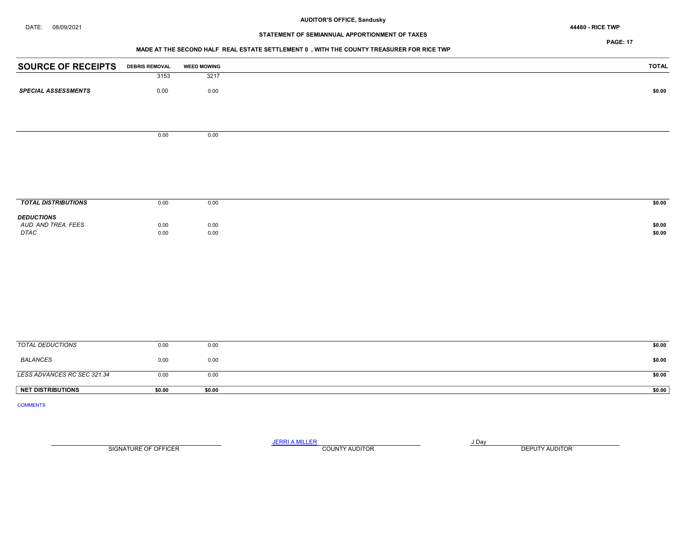# STATEMENT OF SEMIANNUAL APPORTIONMENT OF TAXES

## PAGE: 17

## MADE AT THE SECOND HALF REAL ESTATE SETTLEMENT 0 , WITH THE COUNTY TREASURER FOR RICE TWP

| <b>SOURCE OF RECEIPTS</b>   | <b>DEBRIS REMOVAL</b> | <b>WEED MOWING</b> | <b>TOTAL</b>     |
|-----------------------------|-----------------------|--------------------|------------------|
|                             | 3153                  | 3217               |                  |
| <b>SPECIAL ASSESSMENTS</b>  | 0.00                  | 0.00               | \$0.00           |
|                             |                       |                    |                  |
|                             |                       |                    |                  |
|                             |                       |                    |                  |
|                             | 0.00                  | 0.00               |                  |
|                             |                       |                    |                  |
|                             |                       |                    |                  |
|                             |                       |                    |                  |
|                             |                       |                    |                  |
| <b>TOTAL DISTRIBUTIONS</b>  | 0.00                  | 0.00               | \$0.00           |
| <b>DEDUCTIONS</b>           |                       |                    |                  |
| AUD. AND TREA. FEES<br>DTAC | 0.00<br>0.00          | 0.00<br>0.00       | \$0.00<br>\$0.00 |
|                             |                       |                    |                  |
|                             |                       |                    |                  |
|                             |                       |                    |                  |
|                             |                       |                    |                  |
|                             |                       |                    |                  |
|                             |                       |                    |                  |
|                             |                       |                    |                  |
|                             |                       |                    |                  |

| TOTAL DEDUCTIONS            | 0.00   | 0.00   | \$0.00 |
|-----------------------------|--------|--------|--------|
| BALANCES                    | 0.00   | 0.00   | \$0.00 |
| LESS ADVANCES RC SEC 321.34 | 0.00   | 0.00   | \$0.00 |
| <b>NET DISTRIBUTIONS</b>    | \$0.00 | \$0.00 | \$0.00 |

COMMENTS

JERRI A MILLER COUNTY AUDITOR **FOUND A SERVICE ASSAULT** SIGNATURE OF OFFICER **EXECUTE A RELATION COUNTY AUDITOR** COUNTY AUDITOR **DEPUTY AUDITOR**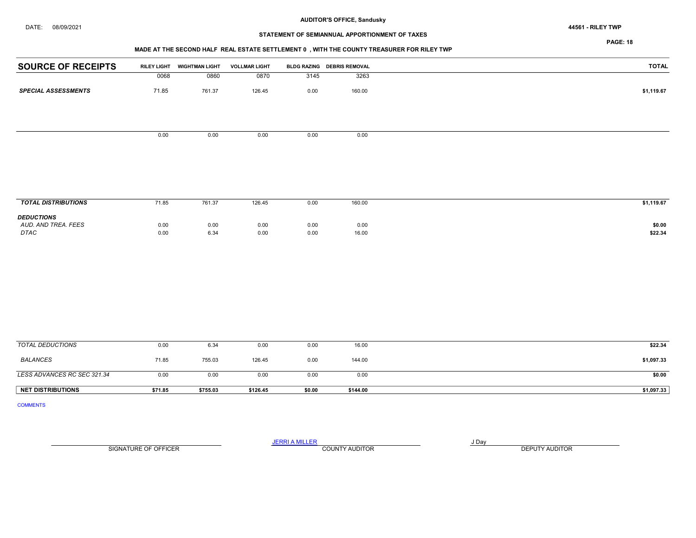# STATEMENT OF SEMIANNUAL APPORTIONMENT OF TAXES

PAGE: 18

## MADE AT THE SECOND HALF REAL ESTATE SETTLEMENT 0 , WITH THE COUNTY TREASURER FOR RILEY TWP

|       | <b>WIGHTMAN LIGHT</b> | <b>VOLLMAR LIGHT</b>       |      |              | TOTAL                              |
|-------|-----------------------|----------------------------|------|--------------|------------------------------------|
| 0068  | 0860                  | 0870                       |      | 3263         |                                    |
| 71.85 | 761.37                | 126.45                     | 0.00 | 160.00       | \$1,119.67                         |
|       |                       |                            |      |              |                                    |
|       |                       |                            |      |              |                                    |
|       |                       |                            |      |              |                                    |
|       |                       |                            |      |              |                                    |
|       |                       |                            |      |              |                                    |
|       |                       |                            |      |              |                                    |
|       |                       |                            |      |              |                                    |
|       |                       |                            |      |              |                                    |
|       | 0.00                  | <b>RILEY LIGHT</b><br>0.00 | 0.00 | 3145<br>0.00 | BLDG RAZING DEBRIS REMOVAL<br>0.00 |

| <b>TOTAL DISTRIBUTIONS</b>                              | 71.85        | 761.37       | 126.45       | 0.00         | 160.00        | \$1,119.67        |
|---------------------------------------------------------|--------------|--------------|--------------|--------------|---------------|-------------------|
| <b>DEDUCTIONS</b><br>AUD, AND TREA, FEES<br><b>DTAC</b> | 0.00<br>0.00 | 0.00<br>6.34 | 0.00<br>0.00 | 0.00<br>0.00 | 0.00<br>16.00 | \$0.00<br>\$22.34 |
|                                                         |              |              |              |              |               |                   |

| TOTAL DEDUCTIONS            | 0.00    | 6.34     | 0.00     | 0.00   | 16.00    | \$22.34    |
|-----------------------------|---------|----------|----------|--------|----------|------------|
| BALANCES                    | 71.85   | 755.03   | 126.45   | 0.00   | 144.00   | \$1,097.33 |
| LESS ADVANCES RC SEC 321.34 | 0.00    | 0.00     | 0.00     | 0.00   | 0.00     | \$0.00     |
| <b>NET DISTRIBUTIONS</b>    | \$71.85 | \$755.03 | \$126.45 | \$0.00 | \$144.00 | \$1,097.33 |

COMMENTS

SIGNATURE OF OFFICER **EXECUTE A RELATION COUNTY AUDITOR** COUNTY AUDITOR **DEPUTY AUDITOR** 

JERRI A MILLER COUNTY AUDITOR **FOUR SERVICE ASSAULT** ON A LIBRARY OF LIBRARY AND LIBRARY OF LIBRARY OF LIBRARY OF LIBRARY OF LIBRARY OF LIBRARY OF LIBRARY OF LIBRARY OF LIBRARY OF LIBRARY OF LIBRARY OF LIBRARY OF LIBRARY O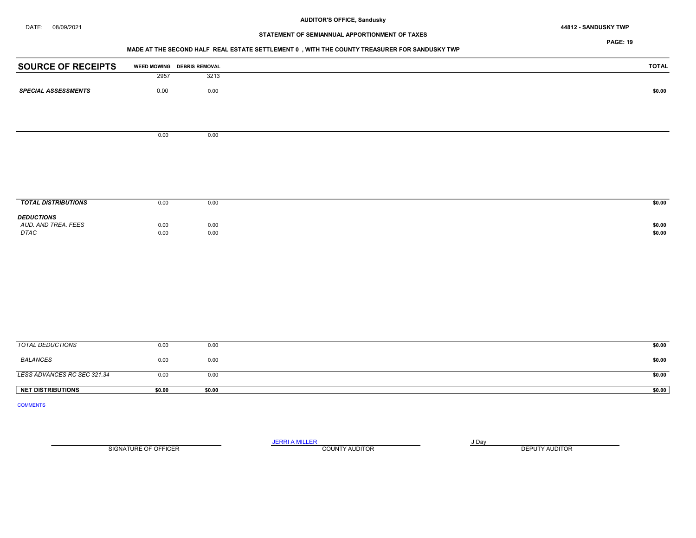# DATE: 08/09/2021 44812 - SANDUSKY TWP

# STATEMENT OF SEMIANNUAL APPORTIONMENT OF TAXES

PAGE: 19

## MADE AT THE SECOND HALF REAL ESTATE SETTLEMENT 0 , WITH THE COUNTY TREASURER FOR SANDUSKY TWP

| <b>SOURCE OF RECEIPTS</b>   |      | WEED MOWING DEBRIS REMOVAL | <b>TOTAL</b> |
|-----------------------------|------|----------------------------|--------------|
|                             | 2957 | 3213                       |              |
| <b>SPECIAL ASSESSMENTS</b>  | 0.00 | 0.00                       | \$0.00       |
|                             |      |                            |              |
|                             |      |                            |              |
|                             | 0.00 | 0.00                       |              |
|                             |      |                            |              |
|                             |      |                            |              |
|                             |      |                            |              |
|                             |      |                            |              |
| <b>TOTAL DISTRIBUTIONS</b>  | 0.00 | 0.00                       | \$0.00       |
| <b>DEDUCTIONS</b>           |      |                            |              |
| AUD. AND TREA. FEES<br>DTAC | 0.00 | 0.00                       | \$0.00       |
|                             | 0.00 | 0.00                       | \$0.00       |
|                             |      |                            |              |
|                             |      |                            |              |
|                             |      |                            |              |
|                             |      |                            |              |
|                             |      |                            |              |
|                             |      |                            |              |
|                             |      |                            |              |

| <b>NET DISTRIBUTIONS</b>    | \$0.00 | \$0.00 | \$0.00 |
|-----------------------------|--------|--------|--------|
| LESS ADVANCES RC SEC 321.34 | 0.00   | 0.00   | \$0.00 |
| <b>BALANCES</b>             | 0.00   | 0.00   | \$0.00 |
| TOTAL DEDUCTIONS            | 0.00   | 0.00   | \$0.00 |

COMMENTS

JERRI A MILLER COUNTY AUDITOR **FOUR SERVICE ASSAULT** ON A LIBRARY OF LIBRARY AND LIBRARY OF LIBRARY OF LIBRARY OF LIBRARY OF LIBRARY OF LIBRARY OF LIBRARY OF LIBRARY OF LIBRARY OF LIBRARY OF LIBRARY OF LIBRARY OF LIBRARY O SIGNATURE OF OFFICER **EXECUTE A RELATION COUNTY AUDITOR** COUNTY AUDITOR **DEPUTY AUDITOR**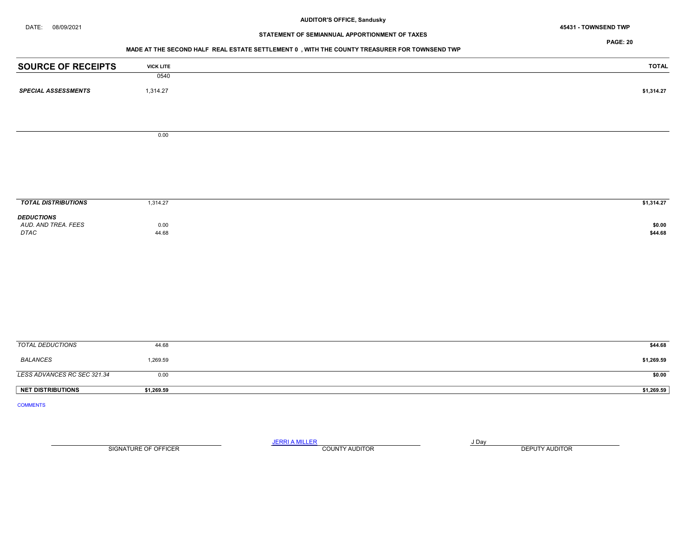DATE: 08/09/2021 45431 - TOWNSEND TWP

# STATEMENT OF SEMIANNUAL APPORTIONMENT OF TAXES

PAGE: 20

#### MADE AT THE SECOND HALF REAL ESTATE SETTLEMENT 0 , WITH THE COUNTY TREASURER FOR TOWNSEND TWP

| <b>SOURCE OF RECEIPTS</b>  | <b>VICK LITE</b> | <b>TOTAL</b> |
|----------------------------|------------------|--------------|
|                            | 0540             |              |
| <b>SPECIAL ASSESSMENTS</b> | 1,314.27         | \$1,314.27   |
|                            |                  |              |
|                            |                  |              |
|                            | 0.00             |              |
|                            |                  |              |
|                            |                  |              |
|                            |                  |              |
|                            |                  |              |
|                            |                  |              |
|                            |                  |              |
| <b>TOTAL DISTRIBUTIONS</b> | 1,314.27         | \$1,314.27   |
| <b>DEDUCTIONS</b>          |                  |              |
| AUD. AND TREA. FEES        | 0.00             | \$0.00       |
| DTAC                       | 44.68            | \$44.68      |

| TOTAL DEDUCTIONS            | 44.68      | \$44.68    |
|-----------------------------|------------|------------|
| BALANCES                    | 1,269.59   | \$1,269.59 |
| LESS ADVANCES RC SEC 321.34 | 0.00       | \$0.00     |
| <b>NET DISTRIBUTIONS</b>    | \$1,269.59 | \$1,269.59 |

COMMENTS

JERRI A MILLER COUNTY AUDITOR **FOUND A SERVICE ASSAULT** 

SIGNATURE OF OFFICER **EXECUTE A RELATION COUNTY AUDITOR** COUNTY AUDITOR **DEPUTY AUDITOR**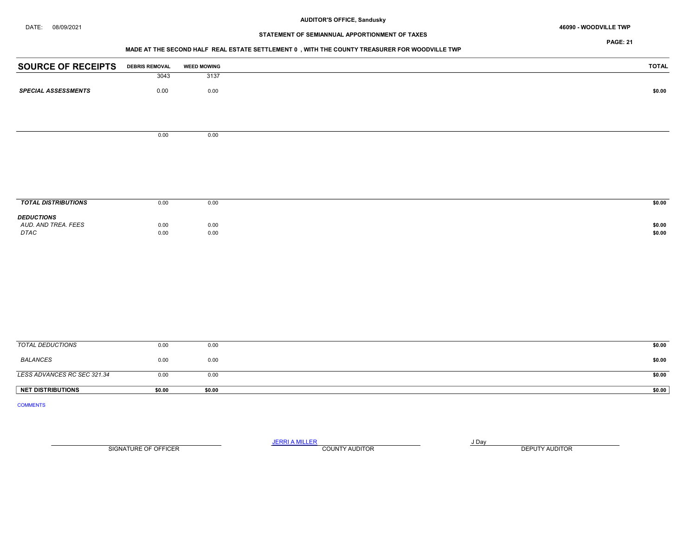#### DATE: 08/09/2021 46090 - WOODVILLE TWP

# STATEMENT OF SEMIANNUAL APPORTIONMENT OF TAXES

PAGE: 21

## MADE AT THE SECOND HALF REAL ESTATE SETTLEMENT 0 , WITH THE COUNTY TREASURER FOR WOODVILLE TWP

| <b>SOURCE OF RECEIPTS</b>  | <b>DEBRIS REMOVAL</b> | <b>WEED MOWING</b> | <b>TOTAL</b> |
|----------------------------|-----------------------|--------------------|--------------|
|                            | 3043                  | 3137               |              |
| <b>SPECIAL ASSESSMENTS</b> | 0.00                  | 0.00               | \$0.00       |
|                            |                       |                    |              |
|                            |                       |                    |              |
|                            | 0.00                  | 0.00               |              |
|                            |                       |                    |              |
|                            |                       |                    |              |
|                            |                       |                    |              |
|                            |                       |                    |              |
|                            |                       |                    |              |
| <b>TOTAL DISTRIBUTIONS</b> | 0.00                  | 0.00               | \$0.00       |
| <b>DEDUCTIONS</b>          |                       |                    |              |
| AUD. AND TREA. FEES        | 0.00                  | 0.00               | \$0.00       |
| DTAC                       | 0.00                  | 0.00               | \$0.00       |
|                            |                       |                    |              |
|                            |                       |                    |              |
|                            |                       |                    |              |
|                            |                       |                    |              |
|                            |                       |                    |              |
|                            |                       |                    |              |
|                            |                       |                    |              |
|                            |                       |                    |              |
|                            |                       |                    |              |

| <b>NET DISTRIBUTIONS</b>    | \$0.00 | \$0.00 | \$0.00 |
|-----------------------------|--------|--------|--------|
|                             |        |        |        |
| LESS ADVANCES RC SEC 321.34 | 0.00   | 0.00   | \$0.00 |
| BALANCES                    | 0.00   | 0.00   | \$0.00 |
| TOTAL DEDUCTIONS            | 0.00   | 0.00   | \$0.00 |

COMMENTS

JERRI A MILLER COUNTY AUDITOR **FOUR SERVICE ASSAULT** ON A LIBRARY OF LIBRARY AND LIBRARY OF LIBRARY OF LIBRARY OF LIBRARY OF LIBRARY OF LIBRARY OF LIBRARY OF LIBRARY OF LIBRARY OF LIBRARY OF LIBRARY OF LIBRARY OF LIBRARY O SIGNATURE OF OFFICER **EXECUTE A RELATION COUNTY AUDITOR** COUNTY AUDITOR **DEPUTY AUDITOR**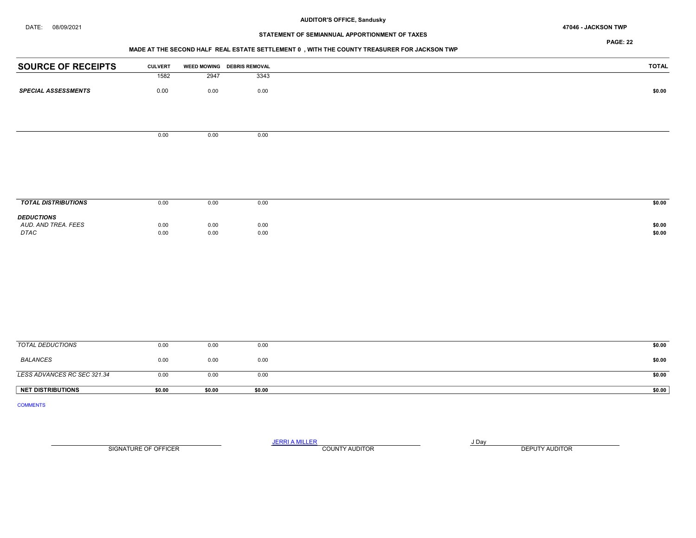#### DATE: 08/09/2021 47046 - JACKSON TWP

#### AUDITOR'S OFFICE, Sandusky

# STATEMENT OF SEMIANNUAL APPORTIONMENT OF TAXES

PAGE: 22

## MADE AT THE SECOND HALF REAL ESTATE SETTLEMENT 0 , WITH THE COUNTY TREASURER FOR JACKSON TWP

| <b>SOURCE OF RECEIPTS</b>   | <b>CULVERT</b> |      | WEED MOWING DEBRIS REMOVAL | <b>TOTAL</b> |
|-----------------------------|----------------|------|----------------------------|--------------|
|                             | 1582           | 2947 | 3343                       |              |
| <b>SPECIAL ASSESSMENTS</b>  | $0.00\,$       | 0.00 | $0.00\,$                   | \$0.00       |
|                             |                |      |                            |              |
|                             | 0.00           | 0.00 | 0.00                       |              |
|                             |                |      |                            |              |
|                             |                |      |                            |              |
|                             |                |      |                            |              |
|                             |                |      |                            |              |
|                             |                |      |                            |              |
| <b>TOTAL DISTRIBUTIONS</b>  | 0.00           | 0.00 | 0.00                       | \$0.00       |
| <b>DEDUCTIONS</b>           |                |      |                            |              |
| AUD. AND TREA. FEES<br>DTAC | 0.00           | 0.00 | 0.00                       | \$0.00       |
|                             | 0.00           | 0.00 | $0.00\,$                   | \$0.00       |
|                             |                |      |                            |              |
|                             |                |      |                            |              |
|                             |                |      |                            |              |
|                             |                |      |                            |              |
|                             |                |      |                            |              |
|                             |                |      |                            |              |
|                             |                |      |                            |              |
|                             |                |      |                            |              |
| <b>TOTAL DEDUCTIONS</b>     | 0.00           | 0.00 | 0.00                       | \$0.00       |

| <b>NET DISTRIBUTIONS</b>    | \$0.00 | \$0.00 | \$0.00 | \$0.00 |
|-----------------------------|--------|--------|--------|--------|
| LESS ADVANCES RC SEC 321.34 | 0.00   | 0.00   | 0.00   | \$0.00 |
| BALANCES                    | 0.00   | 0.00   | 0.00   | \$0.00 |
| TOTAL DEDUCTIONS            | 0.00   | 0.00   | 0.00   | \$0.00 |

COMMENTS

SIGNATURE OF OFFICER **EXECUTE A RELATION COUNTY AUDITOR** COUNTY AUDITOR **DEPUTY AUDITOR** 

JERRI A MILLER COUNTY AUDITOR **FOUR SERVICE ASSAULT** ON A LIBRARY OF LIBRARY AND LIBRARY OF LIBRARY OF LIBRARY OF LIBRARY OF LIBRARY OF LIBRARY OF LIBRARY OF LIBRARY OF LIBRARY OF LIBRARY OF LIBRARY OF LIBRARY OF LIBRARY O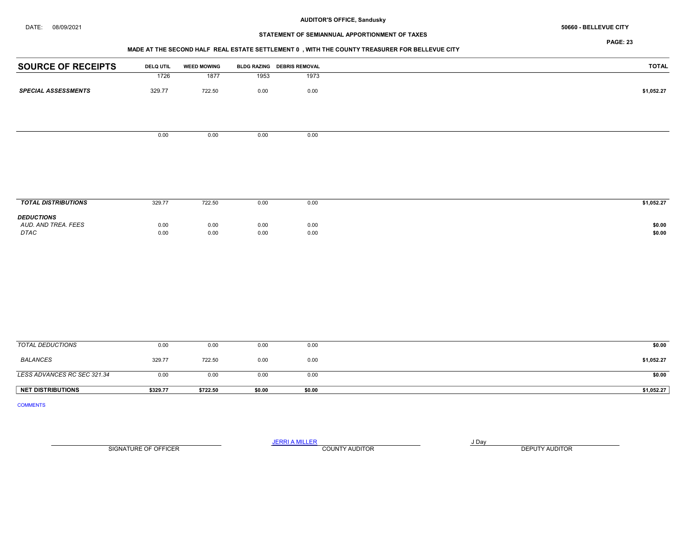# STATEMENT OF SEMIANNUAL APPORTIONMENT OF TAXES

PAGE: 23

#### MADE AT THE SECOND HALF REAL ESTATE SETTLEMENT 0 , WITH THE COUNTY TREASURER FOR BELLEVUE CITY

| <b>SOURCE OF RECEIPTS</b>   | <b>DELQ UTIL</b> | <b>WEED MOWING</b> |              | BLDG RAZING DEBRIS REMOVAL | <b>TOTAL</b>     |
|-----------------------------|------------------|--------------------|--------------|----------------------------|------------------|
|                             | 1726             | 1877               | 1953         | 1973                       |                  |
| <b>SPECIAL ASSESSMENTS</b>  | 329.77           | 722.50             | 0.00         | 0.00                       | \$1,052.27       |
|                             |                  |                    |              |                            |                  |
|                             | 0.00             | 0.00               | 0.00         | 0.00                       |                  |
|                             |                  |                    |              |                            |                  |
|                             |                  |                    |              |                            |                  |
| <b>TOTAL DISTRIBUTIONS</b>  | 329.77           | 722.50             | 0.00         | 0.00                       | \$1,052.27       |
| <b>DEDUCTIONS</b>           |                  |                    |              |                            |                  |
| AUD. AND TREA. FEES<br>DTAC | 0.00<br>0.00     | 0.00<br>0.00       | 0.00<br>0.00 | 0.00<br>0.00               | \$0.00<br>\$0.00 |
|                             |                  |                    |              |                            |                  |
|                             |                  |                    |              |                            |                  |
|                             |                  |                    |              |                            |                  |
|                             |                  |                    |              |                            |                  |
|                             |                  |                    |              |                            |                  |
| <b>TOTAL DEDUCTIONS</b>     | 0.00             | 0.00               | 0.00         | 0.00                       | \$0.00           |
| <b>BALANCES</b>             | 329.77           | 722.50             | 0.00         | 0.00                       | \$1,052.27       |
| LESS ADVANCES RC SEC 321.34 | 0.00             | 0.00               | 0.00         | 0.00                       | \$0.00           |

COMMENTS

SIGNATURE OF OFFICER **EXECUTE A RELATION COUNTY AUDITOR** COUNTY AUDITOR **DEPUTY AUDITOR** 

JERRI A MILLER COUNTY AUDITOR **Finally COUNTY AUDITOR** 

NET DISTRIBUTIONS \$329.77 \$722.50 \$0.00 \$0.00 \$0.00 \$0.00 \$0.00 \$1,052.27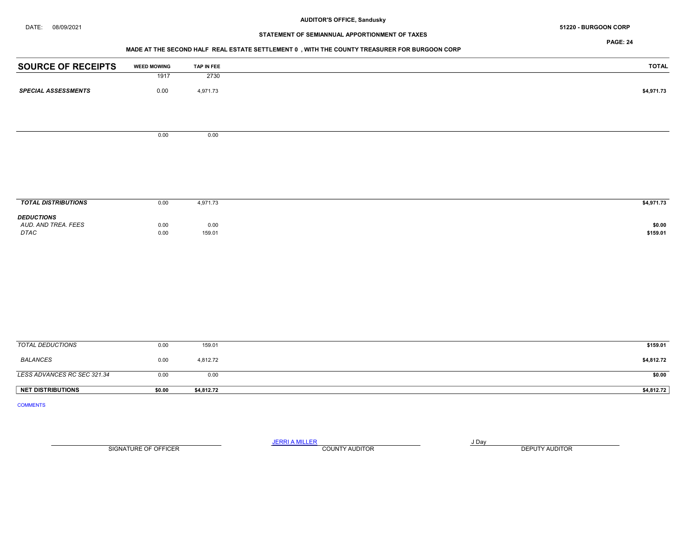#### DATE: 08/09/2021 51220 - BURGOON CORP

# STATEMENT OF SEMIANNUAL APPORTIONMENT OF TAXES

PAGE: 24

## MADE AT THE SECOND HALF REAL ESTATE SETTLEMENT 0 , WITH THE COUNTY TREASURER FOR BURGOON CORP

| <b>SOURCE OF RECEIPTS</b>    | <b>WEED MOWING</b> | TAP IN FEE | <b>TOTAL</b> |
|------------------------------|--------------------|------------|--------------|
|                              | 1917               | 2730       |              |
| <b>SPECIAL ASSESSMENTS</b>   | 0.00               | 4,971.73   | \$4,971.73   |
|                              |                    |            |              |
|                              | 0.00               | 0.00       |              |
|                              |                    |            |              |
|                              |                    |            |              |
|                              |                    |            |              |
|                              |                    |            |              |
| <b>TOTAL DISTRIBUTIONS</b>   | 0.00               | 4,971.73   | \$4,971.73   |
| <b>DEDUCTIONS</b>            |                    |            |              |
| AUD. AND TREA. FEES          | 0.00               | 0.00       | \$0.00       |
| $\ensuremath{\mathit{DTAC}}$ | 0.00               | 159.01     | \$159.01     |
|                              |                    |            |              |
|                              |                    |            |              |
|                              |                    |            |              |
|                              |                    |            |              |
|                              |                    |            |              |
|                              |                    |            |              |
|                              |                    |            |              |
| <b>TOTAL DEDUCTIONS</b>      | 0.00               | 159.01     | \$159.01     |

| <b>NET DISTRIBUTIONS</b>    | \$0.00 | \$4.812.72 | \$4,812.72 |
|-----------------------------|--------|------------|------------|
| LESS ADVANCES RC SEC 321.34 | 0.00   | 0.00       | \$0.00     |
| <b>BALANCES</b>             | 0.00   | 4.812.72   | \$4,812.72 |

COMMENTS

JERRI A MILLER COUNTY AUDITOR **Finally COUNTY AUDITOR** SIGNATURE OF OFFICER **EXECUTE A RELATION COUNTY AUDITOR** COUNTY AUDITOR **DEPUTY AUDITOR**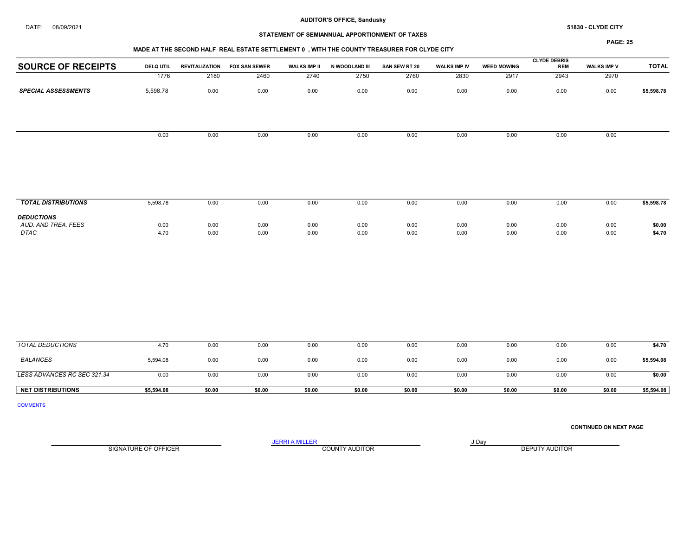# STATEMENT OF SEMIANNUAL APPORTIONMENT OF TAXES

## PAGE: 25

|                                                  |                  |                       |                      |                     |                |               |              |                    | <b>CLYDE DEBRIS</b> |                    |                  |
|--------------------------------------------------|------------------|-----------------------|----------------------|---------------------|----------------|---------------|--------------|--------------------|---------------------|--------------------|------------------|
| <b>SOURCE OF RECEIPTS</b>                        | <b>DELQ UTIL</b> | <b>REVITALIZATION</b> | <b>FOX SAN SEWER</b> | <b>WALKS IMP II</b> | N WOODLAND III | SAN SEW RT 20 | WALKS IMP IV | <b>WEED MOWING</b> | <b>REM</b>          | <b>WALKS IMP V</b> | <b>TOTAL</b>     |
|                                                  | 1776             | 2180                  | 2460                 | 2740                | 2750           | 2760          | 2830         | 2917               | 2943                | 2970               |                  |
| <b>SPECIAL ASSESSMENTS</b>                       | 5,598.78         | 0.00                  | 0.00                 | 0.00                | 0.00           | 0.00          | 0.00         | 0.00               | 0.00                | 0.00               | \$5,598.78       |
|                                                  | 0.00             | 0.00                  | 0.00                 | 0.00                | 0.00           | 0.00          | 0.00         | 0.00               | 0.00                | 0.00               |                  |
| <b>TOTAL DISTRIBUTIONS</b>                       | 5,598.78         | 0.00                  | 0.00                 | 0.00                | 0.00           | 0.00          | 0.00         | 0.00               | 0.00                | 0.00               | \$5,598.78       |
|                                                  |                  |                       |                      |                     |                |               |              |                    |                     |                    |                  |
| <b>DEDUCTIONS</b><br>AUD. AND TREA. FEES<br>DTAC | 0.00<br>4.70     | 0.00<br>0.00          | 0.00<br>0.00         | 0.00<br>0.00        | 0.00<br>0.00   | 0.00<br>0.00  | 0.00<br>0.00 | 0.00<br>0.00       | 0.00<br>0.00        | 0.00<br>0.00       | \$0.00<br>\$4.70 |
|                                                  |                  |                       |                      |                     |                |               |              |                    |                     |                    |                  |
| <b>TOTAL DEDUCTIONS</b>                          | 4.70             | 0.00                  | 0.00                 | 0.00                | 0.00           | 0.00          | 0.00         | 0.00               | 0.00                | 0.00               | \$4.70           |

| <b>NET DISTRIBUTIONS</b>    | \$5,594.08 | \$0.00 | \$0.00 | \$0.00 | \$0.00 | \$0.00 | \$0.00 | \$0.00 | \$0.00 | \$0.00 | \$5,594.08 |
|-----------------------------|------------|--------|--------|--------|--------|--------|--------|--------|--------|--------|------------|
| LESS ADVANCES RC SEC 321.34 | 0.00       | 0.00   | 0.00   | 0.00   | 0.00   | 0.00   | 0.00   | 0.00   | 0.00   | 0.00   | \$0.00     |
| <b>BALANCES</b>             | 5,594.08   | 0.00   | 0.00   | 0.00   | 0.00   | 0.00   | 0.00   | 0.00   | 0.00   | 0.00   | \$5,594.08 |
| TOTAL DEDUCTIONS            | 4.70       | 0.00   | 0.00   | 0.00   | 0.00   | 0.00   | 0.00   | 0.00   | 0.00   | 0.00   | \$4.70     |

COMMENTS

CONTINUED ON NEXT PAGE

SIGNATURE OF OFFICER **EXECUTE A RELATION COUNTY AUDITOR** COUNTY AUDITOR **DEPUTY AUDITOR** 

JERRI A MILLER COUNTY AUDITOR **FOUR SERVICE ASSAULT**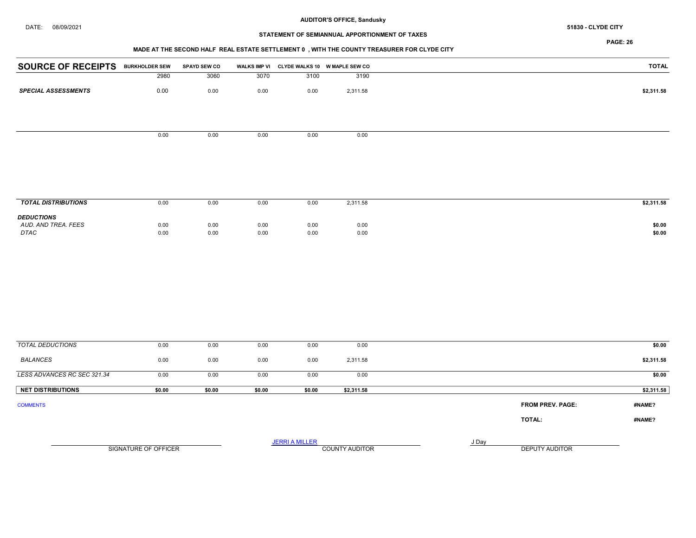#### DATE: 08/09/2021 51830 - CLYDE CITY

# AUDITOR'S OFFICE, Sandusky

# STATEMENT OF SEMIANNUAL APPORTIONMENT OF TAXES

PAGE: 26

## MADE AT THE SECOND HALF REAL ESTATE SETTLEMENT 0 , WITH THE COUNTY TREASURER FOR CLYDE CITY

| <b>SOURCE OF RECEIPTS</b>  | <b>BURKHOLDER SEW</b> | <b>SPAYD SEW CO</b> | <b>WALKS IMP VI</b> |      | CLYDE WALKS 10 W MAPLE SEW CO | <b>TOTAL</b> |
|----------------------------|-----------------------|---------------------|---------------------|------|-------------------------------|--------------|
|                            | 2980                  | 3060                | 3070                | 3100 | 3190                          |              |
|                            |                       |                     |                     |      |                               |              |
| <b>SPECIAL ASSESSMENTS</b> | 0.00                  | 0.00                | 0.00                | 0.00 | 2,311.58                      | \$2,311.58   |
|                            |                       |                     |                     |      |                               |              |
|                            |                       |                     |                     |      |                               |              |
|                            |                       |                     |                     |      |                               |              |
|                            | 0.00                  | 0.00                | 0.00                | 0.00 | 0.00                          |              |
|                            |                       |                     |                     |      |                               |              |
|                            |                       |                     |                     |      |                               |              |
|                            |                       |                     |                     |      |                               |              |
|                            |                       |                     |                     |      |                               |              |
|                            |                       |                     |                     |      |                               |              |
|                            |                       |                     |                     |      |                               |              |
| <b>TOTAL DISTRIBUTIONS</b> | 0.00                  | 0.00                | 0.00                | 0.00 | 2,311.58                      | \$2,311.58   |
| <b>DEDUCTIONS</b>          |                       |                     |                     |      |                               |              |
| AUD. AND TREA. FEES        | 0.00                  | 0.00                | 0.00                | 0.00 | 0.00                          | \$0.00       |

DTAC 0.00 0.00 0.00 0.00 0.00 \$0.00

| 0.00   | 0.00                 | 0.00   | 0.00   | 0.00                  |                       |       |                         | \$0.00     |
|--------|----------------------|--------|--------|-----------------------|-----------------------|-------|-------------------------|------------|
| 0.00   | 0.00                 | 0.00   | 0.00   | 2,311.58              |                       |       |                         | \$2,311.58 |
| 0.00   | 0.00                 | 0.00   | 0.00   | 0.00                  |                       |       |                         | \$0.00     |
| \$0.00 | \$0.00               | \$0.00 | \$0.00 | \$2,311.58            |                       |       |                         | \$2,311.58 |
|        |                      |        |        |                       |                       |       | <b>FROM PREV. PAGE:</b> | #NAME?     |
|        |                      |        |        |                       |                       |       | <b>TOTAL:</b>           | #NAME?     |
|        |                      |        |        |                       |                       | J Day | DEPUTY AUDITOR          |            |
|        | SIGNATURE OF OFFICER |        |        | <b>JERRI A MILLER</b> | <b>COUNTY AUDITOR</b> |       |                         |            |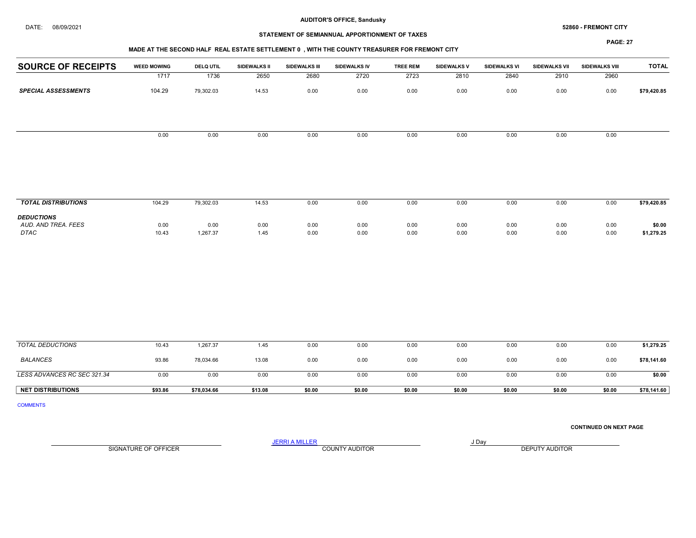# STATEMENT OF SEMIANNUAL APPORTIONMENT OF TAXES

#### MADE AT THE SECOND HALF REAL ESTATE SETTLEMENT 0 , WITH THE COUNTY TREASURER FOR FREMONT CITY

PAGE: 27

|                            |                    |                  |                     |                      | <b>WADE AT THE SECOND HALL INCAL LSTATE SETTLEMENT V</b> , WITH THE COUNTT INCASONER FOR FINEWONT CITT |                 |                    |              |               |                |              |
|----------------------------|--------------------|------------------|---------------------|----------------------|--------------------------------------------------------------------------------------------------------|-----------------|--------------------|--------------|---------------|----------------|--------------|
| <b>SOURCE OF RECEIPTS</b>  | <b>WEED MOWING</b> | <b>DELQ UTIL</b> | <b>SIDEWALKS II</b> | <b>SIDEWALKS III</b> | SIDEWALKS IV                                                                                           | <b>TREE REM</b> | <b>SIDEWALKS V</b> | SIDEWALKS VI | SIDEWALKS VII | SIDEWALKS VIII | <b>TOTAL</b> |
|                            | 1717               | 1736             | 2650                | 2680                 | 2720                                                                                                   | 2723            | 2810               | 2840         | 2910          | 2960           |              |
| <b>SPECIAL ASSESSMENTS</b> | 104.29             | 79,302.03        | 14.53               | 0.00                 | 0.00                                                                                                   | 0.00            | 0.00               | 0.00         | 0.00          | 0.00           | \$79,420.85  |
|                            |                    |                  |                     |                      |                                                                                                        |                 |                    |              |               |                |              |
|                            |                    |                  |                     |                      |                                                                                                        |                 |                    |              |               |                |              |
|                            |                    |                  |                     |                      |                                                                                                        |                 |                    |              |               |                |              |
|                            | 0.00               | 0.00             | 0.00                | 0.00                 | 0.00                                                                                                   | 0.00            | 0.00               | 0.00         | 0.00          | 0.00           |              |
|                            |                    |                  |                     |                      |                                                                                                        |                 |                    |              |               |                |              |
|                            |                    |                  |                     |                      |                                                                                                        |                 |                    |              |               |                |              |
|                            |                    |                  |                     |                      |                                                                                                        |                 |                    |              |               |                |              |
|                            |                    |                  |                     |                      |                                                                                                        |                 |                    |              |               |                |              |
|                            |                    |                  |                     |                      |                                                                                                        |                 |                    |              |               |                |              |

| <b>TOTAL DISTRIBUTIONS</b>                              | 104.29        | 79,302.03        | 14.53        | 0.00         | 0.00         | 0.00         | 0.00         | 0.00         | 0.00         | 0.00         | \$79,420.85          |
|---------------------------------------------------------|---------------|------------------|--------------|--------------|--------------|--------------|--------------|--------------|--------------|--------------|----------------------|
| <b>DEDUCTIONS</b><br>AUD. AND TREA. FEES<br><b>DTAC</b> | 0.00<br>10.43 | 0.00<br>1.267.37 | 0.00<br>1.45 | 0.00<br>0.00 | 0.00<br>0.00 | 0.00<br>0.00 | 0.00<br>0.00 | 0.00<br>0.00 | 0.00<br>0.00 | 0.00<br>0.00 | \$0.00<br>\$1,279.25 |

| TOTAL DEDUCTIONS            | 10.43   | 1,267.37    | 1.45    | 0.00   | 0.00   | 0.00   | 0.00   | 0.00   | 0.00   | 0.00   | \$1,279.25  |
|-----------------------------|---------|-------------|---------|--------|--------|--------|--------|--------|--------|--------|-------------|
| <b>BALANCES</b>             | 93.86   | 78,034.66   | 13.08   | 0.00   | 0.00   | 0.00   | 0.00   | 0.00   | 0.00   | 0.00   | \$78,141.60 |
| LESS ADVANCES RC SEC 321.34 | 0.00    | 0.00        | 0.00    | 0.00   | 0.00   | 0.00   | 0.00   | 0.00   | 0.00   | 0.00   | \$0.00      |
| <b>NET DISTRIBUTIONS</b>    | \$93.86 | \$78,034.66 | \$13.08 | \$0.00 | \$0.00 | \$0.00 | \$0.00 | \$0.00 | \$0.00 | \$0.00 | \$78,141.60 |

COMMENTS

CONTINUED ON NEXT PAGE

SIGNATURE OF OFFICER **EXECUTE A RELATION COUNTY AUDITOR** COUNTY AUDITOR **DEPUTY AUDITOR** 

JERRI A MILLER COUNTY AUDITOR **FOUR SERVICE ASSAULT** ON A LIBRARY OF LIBRARY AND LIBRARY OF LIBRARY OF LIBRARY OF LIBRARY OF LIBRARY OF LIBRARY OF LIBRARY OF LIBRARY OF LIBRARY OF LIBRARY OF LIBRARY OF LIBRARY OF LIBRARY O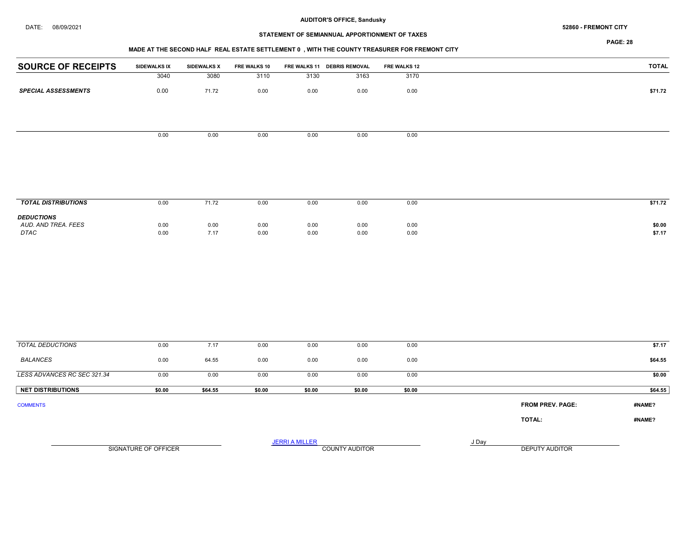# STATEMENT OF SEMIANNUAL APPORTIONMENT OF TAXES

PAGE: 28

# MADE AT THE SECOND HALF REAL ESTATE SETTLEMENT 0 , WITH THE COUNTY TREASURER FOR FREMONT CITY

|                            |              |                    | the contract of the contract of the contract of the contract of the contract of the contract of the contract of | $\sim$ $\sim$ |                             |              |              |
|----------------------------|--------------|--------------------|-----------------------------------------------------------------------------------------------------------------|---------------|-----------------------------|--------------|--------------|
| <b>SOURCE OF RECEIPTS</b>  | SIDEWALKS IX | <b>SIDEWALKS X</b> | FRE WALKS 10                                                                                                    |               | FRE WALKS 11 DEBRIS REMOVAL | FRE WALKS 12 | <b>TOTAL</b> |
|                            | 3040         | 3080               | 3110                                                                                                            | 3130          | 3163                        | 3170         |              |
| <b>SPECIAL ASSESSMENTS</b> | 0.00         | 71.72              | 0.00                                                                                                            | 0.00          | 0.00                        | 0.00         | \$71.72      |
|                            |              |                    |                                                                                                                 |               |                             |              |              |
|                            |              |                    |                                                                                                                 |               |                             |              |              |
|                            | 0.00         | 0.00               | 0.00                                                                                                            | 0.00          | 0.00                        | 0.00         |              |
|                            |              |                    |                                                                                                                 |               |                             |              |              |
|                            |              |                    |                                                                                                                 |               |                             |              |              |
|                            |              |                    |                                                                                                                 |               |                             |              |              |
|                            |              |                    |                                                                                                                 |               |                             |              |              |

| <b>TOTAL DISTRIBUTIONS</b>                              | 0.00         | 71.72        | 0.00         | 0.00         | 0.00         | 0.00         | \$71.72          |
|---------------------------------------------------------|--------------|--------------|--------------|--------------|--------------|--------------|------------------|
| <b>DEDUCTIONS</b><br>AUD. AND TREA. FEES<br><b>DTAC</b> | 0.00<br>0.00 | 0.00<br>7.17 | 0.00<br>0.00 | 0.00<br>0.00 | 0.00<br>0.00 | 0.00<br>0.00 | \$0.00<br>\$7.17 |

| <b>TOTAL DEDUCTIONS</b>     | 0.00   | 7.17    | 0.00                  | 0.00                  | 0.00           | 0.00   |       |                         | \$7.17  |
|-----------------------------|--------|---------|-----------------------|-----------------------|----------------|--------|-------|-------------------------|---------|
| BALANCES                    | 0.00   | 64.55   | 0.00                  | 0.00                  | 0.00           | 0.00   |       |                         | \$64.55 |
| LESS ADVANCES RC SEC 321.34 | 0.00   | 0.00    | 0.00                  | 0.00                  | 0.00           | 0.00   |       |                         | \$0.00  |
| <b>NET DISTRIBUTIONS</b>    | \$0.00 | \$64.55 | \$0.00                | \$0.00                | \$0.00         | \$0.00 |       |                         | \$64.55 |
| <b>COMMENTS</b>             |        |         |                       |                       |                |        |       | <b>FROM PREV. PAGE:</b> | #NAME?  |
|                             |        |         |                       |                       |                |        |       | TOTAL:                  | #NAME?  |
|                             |        |         |                       | <b>JERRI A MILLER</b> |                |        | J Day |                         |         |
| SIGNATURE OF OFFICER        |        |         | <b>COUNTY AUDITOR</b> |                       | DEPUTY AUDITOR |        |       |                         |         |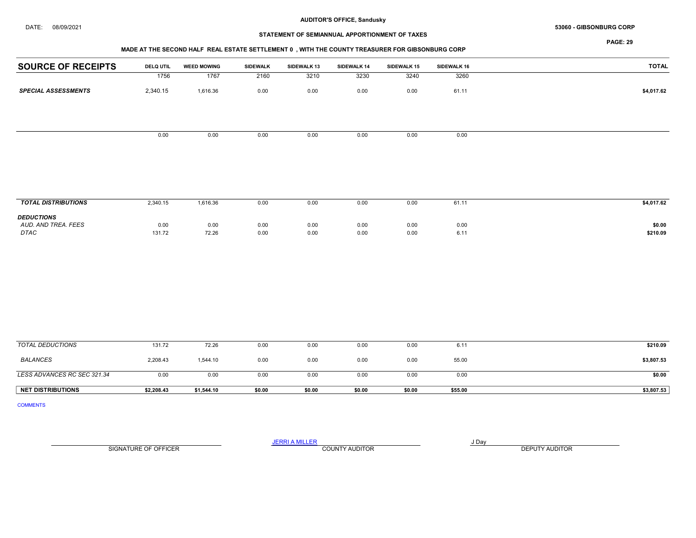#### $\bf{DATE:} \qquad 08/09/2021$

# STATEMENT OF SEMIANNUAL APPORTIONMENT OF TAXES

PAGE: 29

| <b>SOURCE OF RECEIPTS</b>  | <b>DELQ UTIL</b> | <b>WEED MOWING</b> | SIDEWALK | SIDEWALK 13 | SIDEWALK 14 | SIDEWALK 15 | SIDEWALK 16 | TOTAL      |
|----------------------------|------------------|--------------------|----------|-------------|-------------|-------------|-------------|------------|
|                            | 1756             | 1767               | 2160     | 3210        | 3230        | 3240        | 3260        |            |
| <b>SPECIAL ASSESSMENTS</b> | 2,340.15         | 1,616.36           | 0.00     | 0.00        | 0.00        | 0.00        | 61.11       | \$4,017.62 |
|                            |                  |                    |          |             |             |             |             |            |
|                            |                  |                    |          |             |             |             |             |            |
|                            | 0.00             | 0.00               | 0.00     | 0.00        | 0.00        | 0.00        | 0.00        |            |
|                            |                  |                    |          |             |             |             |             |            |
|                            |                  |                    |          |             |             |             |             |            |
|                            |                  |                    |          |             |             |             |             |            |

| <b>TOTAL DISTRIBUTIONS</b>                              | 2,340.15       | 1,616.36                              | 0.00                                 | 0.00         | 0.00         | 0.00         | 61.11        | \$4,017.62         |
|---------------------------------------------------------|----------------|---------------------------------------|--------------------------------------|--------------|--------------|--------------|--------------|--------------------|
| <b>DEDUCTIONS</b><br>AUD. AND TREA. FEES<br><b>DTAC</b> | 0.00<br>131.72 | 0.00<br>$\sim$ $\sim$ $\sim$<br>72.26 | 0.00<br>$\sim$ $\sim$ $\sim$<br>0.00 | 0.00<br>0.00 | 0.00<br>0.00 | 0.00<br>0.00 | 0.00<br>6.11 | \$0.00<br>\$210.09 |

| TOTAL DEDUCTIONS            | 131.72     | 72.26      | 0.00   | 0.00   | 0.00   | 0.00   | 6.11    | \$210.09   |
|-----------------------------|------------|------------|--------|--------|--------|--------|---------|------------|
| <b>BALANCES</b>             | 2.208.43   | 1.544.10   | 0.00   | 0.00   | 0.00   | 0.00   | 55.00   | \$3,807.53 |
| LESS ADVANCES RC SEC 321.34 | 0.00       | 0.00       | 0.00   | 0.00   | 0.00   | 0.00   | 0.00    | \$0.00     |
| <b>NET DISTRIBUTIONS</b>    | \$2,208.43 | \$1,544.10 | \$0.00 | \$0.00 | \$0.00 | \$0.00 | \$55.00 | \$3,807.53 |

COMMENTS

SIGNATURE OF OFFICER **EXECUTE A RELATION COUNTY AUDITOR** COUNTY AUDITOR **DEPUTY AUDITOR** 

JERRI A MILLER COUNTY AUDITOR **FOUR SERVICE ASSAULT**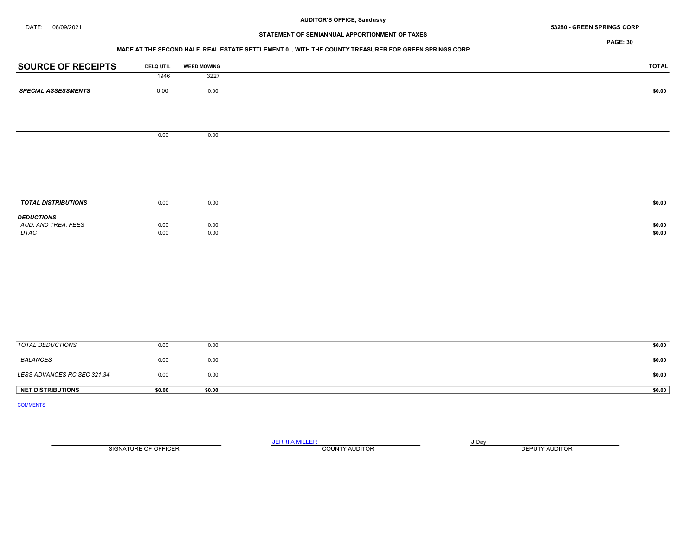#### DATE: 08/09/2021 53280 - GREEN SPRINGS CORP

# STATEMENT OF SEMIANNUAL APPORTIONMENT OF TAXES

PAGE: 30

## MADE AT THE SECOND HALF REAL ESTATE SETTLEMENT 0 , WITH THE COUNTY TREASURER FOR GREEN SPRINGS CORP

| <b>SOURCE OF RECEIPTS</b>                           | <b>DELQ UTIL</b> | <b>WEED MOWING</b> | <b>TOTAL</b>     |
|-----------------------------------------------------|------------------|--------------------|------------------|
|                                                     | 1946             | 3227               |                  |
| <b>SPECIAL ASSESSMENTS</b>                          | 0.00             | 0.00               | \$0.00           |
|                                                     |                  |                    |                  |
|                                                     |                  |                    |                  |
|                                                     | 0.00             | $0.00\,$           |                  |
|                                                     |                  |                    |                  |
|                                                     |                  |                    |                  |
|                                                     |                  |                    |                  |
|                                                     |                  |                    |                  |
|                                                     |                  |                    |                  |
| <b>TOTAL DISTRIBUTIONS</b>                          | 0.00             | 0.00               | \$0.00           |
| <b>DEDUCTIONS</b>                                   |                  |                    |                  |
| AUD. AND TREA. FEES<br>$\ensuremath{\mathsf{DTAC}}$ | 0.00<br>0.00     | $0.00\,$<br>0.00   | \$0.00<br>\$0.00 |
|                                                     |                  |                    |                  |
|                                                     |                  |                    |                  |
|                                                     |                  |                    |                  |
|                                                     |                  |                    |                  |
|                                                     |                  |                    |                  |
|                                                     |                  |                    |                  |
|                                                     |                  |                    |                  |
|                                                     |                  |                    |                  |
| <b>TOTAL DEDUCTIONS</b>                             | 0.00             | 0.00               | \$0.00           |
| <b>BALANCES</b>                                     | 0.00             | 0.00               | \$0.00           |

LESS ADVANCES RC SEC 321.34 0.00 0.00 0.00 0.00 \$0.00 NET DISTRIBUTIONS \$0.00 \$0.00 \$0.00 \$0.00 \$0.00 \$0.00 \$0.00 \$0.00 \$1.00 \$1.00 \$1.00 \$1.00 \$1.00 \$1.00 \$1.00 \$1

COMMENTS

JERRI A MILLER COUNTY AUDITOR **Fig. 1998** SIGNATURE OF OFFICER **EXECUTE A RELATION COUNTY AUDITOR** COUNTY AUDITOR **DEPUTY AUDITOR**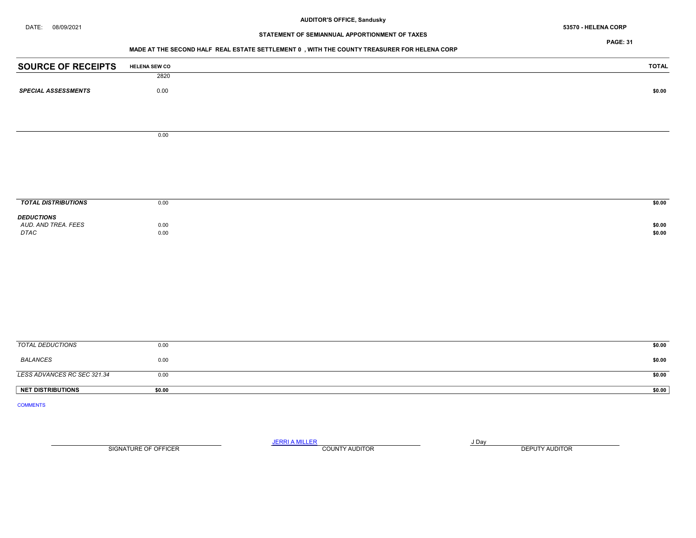DATE: 08/09/2021 53570 - HELENA CORP

# STATEMENT OF SEMIANNUAL APPORTIONMENT OF TAXES

PAGE: 31

## MADE AT THE SECOND HALF REAL ESTATE SETTLEMENT 0 , WITH THE COUNTY TREASURER FOR HELENA CORP

| <b>SOURCE OF RECEIPTS</b>   | <b>HELENA SEW CO</b> | <b>TOTAL</b> |
|-----------------------------|----------------------|--------------|
|                             | 2820                 |              |
| <b>SPECIAL ASSESSMENTS</b>  | $0.00\,$             | \$0.00       |
|                             |                      |              |
|                             |                      |              |
|                             | 0.00                 |              |
|                             |                      |              |
|                             |                      |              |
|                             |                      |              |
|                             |                      |              |
| <b>TOTAL DISTRIBUTIONS</b>  | 0.00                 | \$0.00       |
| <b>DEDUCTIONS</b>           |                      |              |
| AUD. AND TREA. FEES         | 0.00                 | \$0.00       |
| DTAC                        | 0.00                 | \$0.00       |
|                             |                      |              |
|                             |                      |              |
|                             |                      |              |
|                             |                      |              |
|                             |                      |              |
|                             |                      |              |
|                             |                      |              |
| <b>TOTAL DEDUCTIONS</b>     | 0.00                 | \$0.00       |
| <b>BALANCES</b>             | 0.00                 | \$0.00       |
| LESS ADVANCES RC SEC 321.34 | 0.00                 | \$0.00       |
| <b>NET DISTRIBUTIONS</b>    | \$0.00               | \$0.00       |
| <b>COMMENTS</b>             |                      |              |
|                             |                      |              |

SIGNATURE OF OFFICER **EXECUTE A RELATION COUNTY AUDITOR** COUNTY AUDITOR **DEPUTY AUDITOR** 

JERRI A MILLER COUNTY AUDITOR **FOUR SERVICE ASSAULT**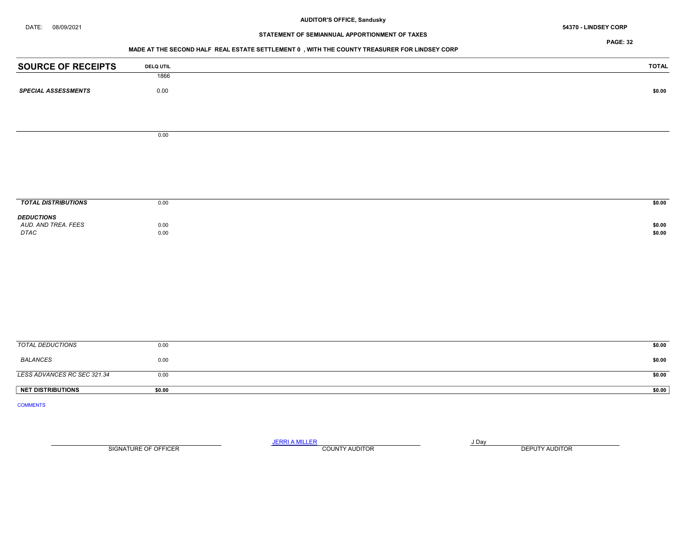# DATE: 08/09/2021 54370 - LINDSEY CORP

# STATEMENT OF SEMIANNUAL APPORTIONMENT OF TAXES

PAGE: 32

## MADE AT THE SECOND HALF REAL ESTATE SETTLEMENT 0 , WITH THE COUNTY TREASURER FOR LINDSEY CORP

| <b>SOURCE OF RECEIPTS</b>   | <b>DELQ UTIL</b> | <b>TOTAL</b> |
|-----------------------------|------------------|--------------|
|                             | 1866             |              |
| <b>SPECIAL ASSESSMENTS</b>  | $0.00\,$         | \$0.00       |
|                             |                  |              |
|                             |                  |              |
|                             |                  |              |
|                             | 0.00             |              |
|                             |                  |              |
|                             |                  |              |
|                             |                  |              |
|                             |                  |              |
| <b>TOTAL DISTRIBUTIONS</b>  | 0.00             | \$0.00       |
| <b>DEDUCTIONS</b>           |                  |              |
| AUD. AND TREA. FEES         | 0.00             | \$0.00       |
| DTAC                        | 0.00             | \$0.00       |
|                             |                  |              |
|                             |                  |              |
|                             |                  |              |
|                             |                  |              |
|                             |                  |              |
|                             |                  |              |
|                             |                  |              |
|                             |                  |              |
| <b>TOTAL DEDUCTIONS</b>     | 0.00             | \$0.00       |
| <b>BALANCES</b>             | 0.00             | \$0.00       |
| LESS ADVANCES RC SEC 321.34 | 0.00             | \$0.00       |
| <b>NET DISTRIBUTIONS</b>    | \$0.00           | \$0.00       |
| <b>COMMENTS</b>             |                  |              |

SIGNATURE OF OFFICER **EXECUTE A RELATION COUNTY AUDITOR** COUNTY AUDITOR **DEPUTY AUDITOR** 

JERRI A MILLER COUNTY AUDITOR **FOUR SERVICE ASSAULT**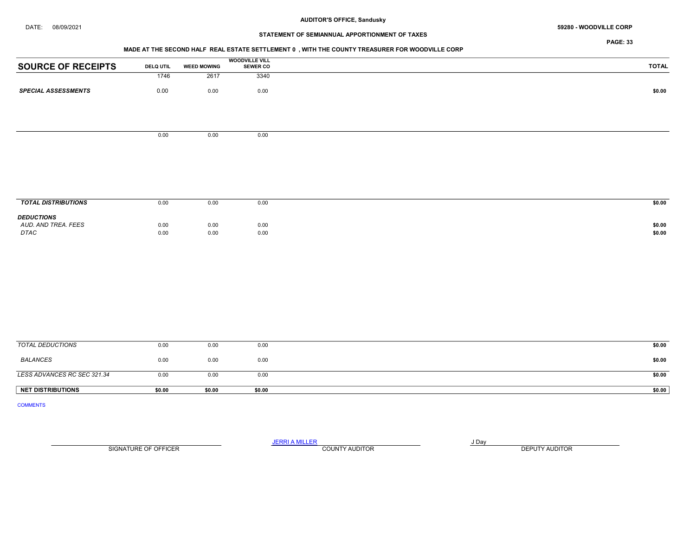#### DATE: 08/09/2021 59280 - WOODVILLE CORP

# STATEMENT OF SEMIANNUAL APPORTIONMENT OF TAXES

PAGE: 33

#### MADE AT THE SECOND HALF REAL ESTATE SETTLEMENT 0 , WITH THE COUNTY TREASURER FOR WOODVILLE CORP

|                            |                  |                    | <b>WOODVILLE VILL</b> |        |
|----------------------------|------------------|--------------------|-----------------------|--------|
| <b>SOURCE OF RECEIPTS</b>  | <b>DELQ UTIL</b> | <b>WEED MOWING</b> | <b>SEWER CO</b>       | TOTAL  |
|                            | 1746             | 2617               | 3340                  |        |
| <b>SPECIAL ASSESSMENTS</b> | 0.00             | 0.00               | 0.00                  | \$0.00 |
|                            |                  |                    |                       |        |
|                            |                  |                    |                       |        |
|                            | 0.00             | 0.00               | 0.00                  |        |
|                            |                  |                    |                       |        |
|                            |                  |                    |                       |        |
|                            |                  |                    |                       |        |
|                            |                  |                    |                       |        |

| <b>TOTAL DISTRIBUTIONS</b>                       | 0.00         | 0.00         | 0.00               | \$0.00           |
|--------------------------------------------------|--------------|--------------|--------------------|------------------|
| <b>DEDUCTIONS</b><br>AUD. AND TREA. FEES<br>DTAC | 0.00<br>0.00 | 0.00<br>0.00 | $0.00\,$ 0.00 $\,$ | \$0.00<br>\$0.00 |

| NET DISTRIBUTIONS           | \$0.00 | \$0.00 | \$0.00 | \$0.00 |
|-----------------------------|--------|--------|--------|--------|
| LESS ADVANCES RC SEC 321.34 | 0.00   | 0.00   | 0.00   | \$0.00 |
| BALANCES                    | 0.00   | 0.00   | 0.00   | \$0.00 |
| TOTAL DEDUCTIONS            | 0.00   | 0.00   | 0.00   | \$0.00 |

COMMENTS

SIGNATURE OF OFFICER **EXECUTE A RELATION COUNTY AUDITOR** COUNTY AUDITOR **DEPUTY AUDITOR** 

JERRI A MILLER COUNTY AUDITOR **FOUR SERVICE ASSAULT** ON A LIBRARY OF LIBRARY AND LIBRARY OF LIBRARY OF LIBRARY OF LIBRARY OF LIBRARY OF LIBRARY OF LIBRARY OF LIBRARY OF LIBRARY OF LIBRARY OF LIBRARY OF LIBRARY OF LIBRARY O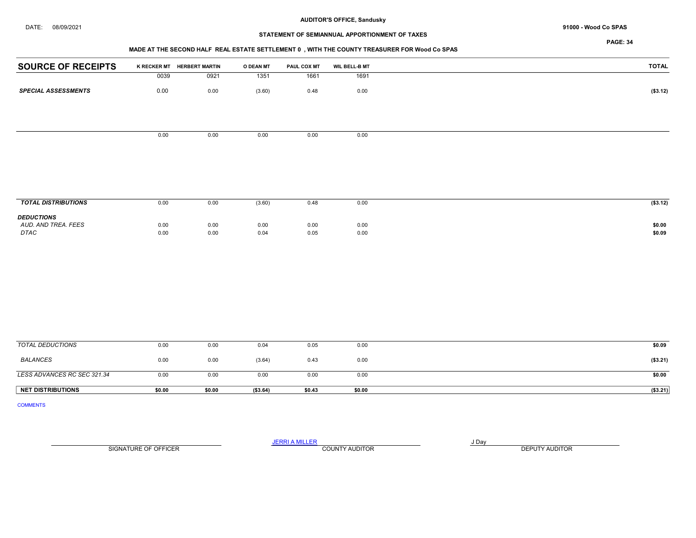#### DATE: 08/09/2021 91000 - Wood Co SPAS

#### AUDITOR'S OFFICE, Sandusky

# STATEMENT OF SEMIANNUAL APPORTIONMENT OF TAXES

## MADE AT THE SECOND HALF REAL ESTATE SETTLEMENT 0 , WITH THE COUNTY TREASURER FOR Wood Co SPAS

| <b>SOURCE OF RECEIPTS</b>  |      | K RECKER MT HERBERT MARTIN | O DEAN MT | PAUL COX MT | <b>WIL BELL-B MT</b> | <b>TOTAL</b> |
|----------------------------|------|----------------------------|-----------|-------------|----------------------|--------------|
|                            | 0039 | 0921                       | 1351      | 1661        | 1691                 |              |
| <b>SPECIAL ASSESSMENTS</b> | 0.00 | 0.00                       | (3.60)    | 0.48        | 0.00                 | (\$3.12)     |
|                            |      |                            |           |             |                      |              |
|                            |      |                            |           |             |                      |              |
|                            | 0.00 | 0.00                       | 0.00      | 0.00        | 0.00                 |              |
|                            |      |                            |           |             |                      |              |
|                            |      |                            |           |             |                      |              |
|                            |      |                            |           |             |                      |              |
|                            |      |                            |           |             |                      |              |
|                            |      |                            |           |             |                      |              |
| <b>TOTAL DISTRIBUTIONS</b> | 0.00 | 0.00                       | (3.60)    | 0.48        | 0.00                 | (\$3.12)     |

| <b>DEDUCTIONS</b>   |      |              |      |      |      |        |
|---------------------|------|--------------|------|------|------|--------|
| AUD. AND TREA. FEES | 0.00 | 0.00<br>v.vu | 0.00 | 0.00 | 0.00 | \$0.00 |
| <b>DTAC</b>         | 0.00 | 0.00<br>u.uu | 0.04 | 0.05 | 0.00 | \$0.09 |
|                     |      |              |      |      |      |        |

| TOTAL DEDUCTIONS            | 0.00   | 0.00   | 0.04      | 0.05   | 0.00   | \$0.09    |
|-----------------------------|--------|--------|-----------|--------|--------|-----------|
| BALANCES                    | 0.00   | 0.00   | (3.64)    | 0.43   | 0.00   | (\$3.21)  |
| LESS ADVANCES RC SEC 321.34 | 0.00   | 0.00   | 0.00      | 0.00   | 0.00   | \$0.00    |
| <b>NET DISTRIBUTIONS</b>    | \$0.00 | \$0.00 | ( \$3.64) | \$0.43 | \$0.00 | ( \$3.21) |

COMMENTS

SIGNATURE OF OFFICER **EXECUTE A RELATION COUNTY AUDITOR** COUNTY AUDITOR **DEPUTY AUDITOR** 

JERRI A MILLER COUNTY AUDITOR **FOUR SERVICE ASSAULT** ON A LIBRARY OF LIBRARY AND LIBRARY OF LIBRARY OF LIBRARY OF LIBRARY OF LIBRARY OF LIBRARY OF LIBRARY OF LIBRARY OF LIBRARY OF LIBRARY OF LIBRARY OF LIBRARY OF LIBRARY O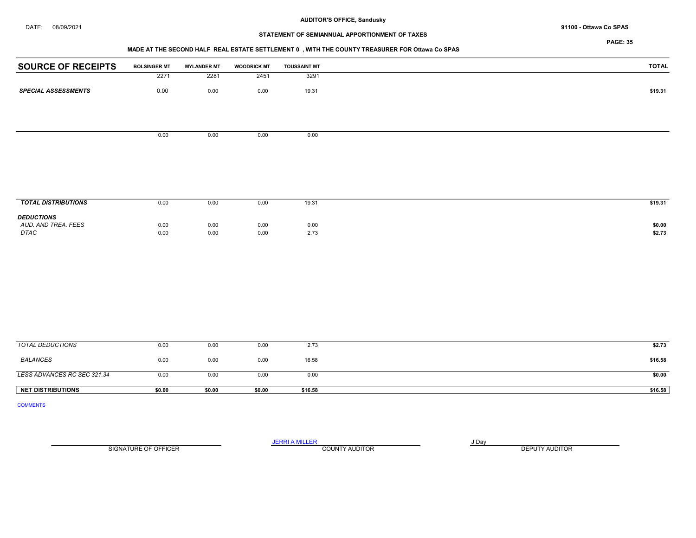# STATEMENT OF SEMIANNUAL APPORTIONMENT OF TAXES

#### MADE AT THE SECOND HALF REAL ESTATE SETTLEMENT 0 , WITH THE COUNTY TREASURER FOR Ottawa Co SPAS

| <b>SOURCE OF RECEIPTS</b>  | <b>BOLSINGER MT</b> | <b>MYLANDER MT</b> | <b>WOODRICK MT</b> | <b>TOUSSAINT MT</b> | <b>TOTAL</b> |
|----------------------------|---------------------|--------------------|--------------------|---------------------|--------------|
|                            | 2271                | 2281               | 2451               | 3291                |              |
| <b>SPECIAL ASSESSMENTS</b> | 0.00                | $0.00\,$           | 0.00               | 19.31               | \$19.31      |
|                            |                     |                    |                    |                     |              |
|                            |                     |                    |                    |                     |              |
|                            |                     |                    |                    |                     |              |
|                            | 0.00                | 0.00               | 0.00               | 0.00                |              |
|                            |                     |                    |                    |                     |              |
|                            |                     |                    |                    |                     |              |
|                            |                     |                    |                    |                     |              |
|                            |                     |                    |                    |                     |              |
| <b>TOTAL DISTRIBUTIONS</b> | 0.00                | 0.00               | 0.00               | 19.31               | \$19.31      |
| <b>DEDUCTIONS</b>          |                     |                    |                    |                     |              |
| AUD. AND TREA. FEES        | 0.00                | 0.00               | 0.00               | 0.00                | \$0.00       |
| DTAC                       | 0.00                | 0.00               | 0.00               | 2.73                | \$2.73       |
|                            |                     |                    |                    |                     |              |
|                            |                     |                    |                    |                     |              |
|                            |                     |                    |                    |                     |              |
|                            |                     |                    |                    |                     |              |
|                            |                     |                    |                    |                     |              |
|                            |                     |                    |                    |                     |              |
|                            |                     |                    |                    |                     |              |
|                            |                     |                    |                    |                     |              |
| <b>TOTAL DEDUCTIONS</b>    | 0.00                | 0.00               | 0.00               | 2.73                | \$2.73       |

| <b>NET DISTRIBUTIONS</b>    | \$0.00 | \$0.00 | \$0.00 | \$16.58 | \$16.58 |
|-----------------------------|--------|--------|--------|---------|---------|
| LESS ADVANCES RC SEC 321.34 | 0.00   | 0.00   | 0.00   | 0.00    | \$0.00  |
| BALANCES                    | 0.00   | 0.00   | 0.00   | 16.58   | \$16.58 |
| TOTAL DEDUCTIONS            | 0.00   | 0.00   | 0.00   | 2.73    | \$2.73  |

COMMENTS

SIGNATURE OF OFFICER **EXECUTE A RELATION COUNTY AUDITOR** COUNTY AUDITOR **DEPUTY AUDITOR** 

JERRI A MILLER COUNTY AUDITOR **FOUND A SERVICE ASSAULT**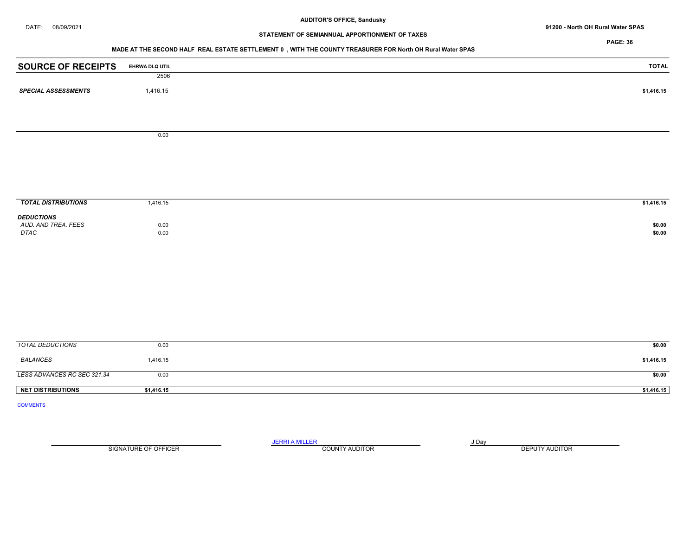DATE: 08/09/2021 91200 - North OH Rural Water SPAS

# STATEMENT OF SEMIANNUAL APPORTIONMENT OF TAXES

PAGE: 36

## MADE AT THE SECOND HALF REAL ESTATE SETTLEMENT 0 , WITH THE COUNTY TREASURER FOR North OH Rural Water SPAS

| <b>SOURCE OF RECEIPTS</b>     | EHRWA DLQ UTIL | <b>TOTAL</b>     |
|-------------------------------|----------------|------------------|
|                               | 2506           |                  |
| <b>SPECIAL ASSESSMENTS</b>    | 1,416.15       | \$1,416.15       |
|                               |                |                  |
|                               | 0.00           |                  |
|                               |                |                  |
|                               |                |                  |
| <b>TOTAL DISTRIBUTIONS</b>    | 1,416.15       | \$1,416.15       |
| <b>DEDUCTIONS</b>             |                |                  |
| AUD. AND TREA. FEES<br>$DTAC$ | 0.00<br>0.00   | \$0.00<br>\$0.00 |
|                               |                |                  |
|                               |                |                  |
|                               |                |                  |
|                               |                |                  |
|                               |                |                  |
| <b>TOTAL DEDUCTIONS</b>       | 0.00           | \$0.00           |
|                               |                |                  |
| <b>BALANCES</b>               | 1,416.15       | \$1,416.15       |
| LESS ADVANCES RC SEC 321.34   | 0.00           | \$0.00           |
| <b>NET DISTRIBUTIONS</b>      | \$1,416.15     | \$1,416.15       |
| <b>COMMENTS</b>               |                |                  |

SIGNATURE OF OFFICER **EXECUTE A RELATION COUNTY AUDITOR** COUNTY AUDITOR **DEPUTY AUDITOR** 

JERRI A MILLER COUNTY AUDITOR **FOUR SERVICE ASSAULT** ON A LIBRARY OF LIBRARY AND LIBRARY OF LIBRARY OF LIBRARY OF LIBRARY OF LIBRARY OF LIBRARY OF LIBRARY OF LIBRARY OF LIBRARY OF LIBRARY OF LIBRARY OF LIBRARY OF LIBRARY O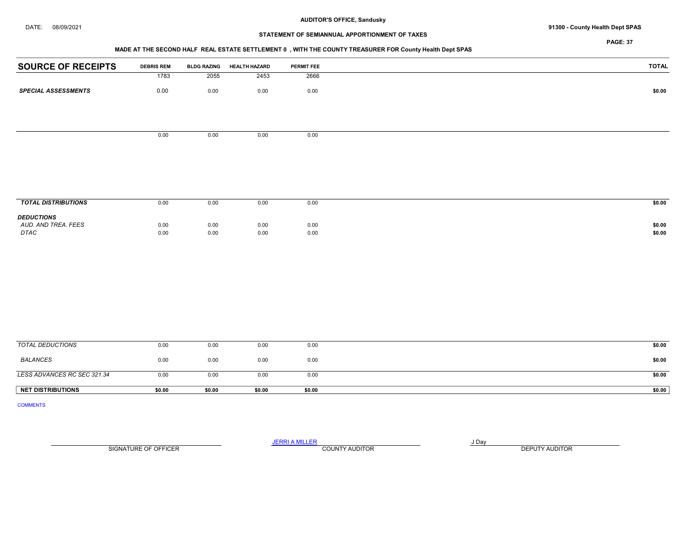## DATE: 08/09/2021 91300 - County Health Dept SPAS

# STATEMENT OF SEMIANNUAL APPORTIONMENT OF TAXES

PAGE: 37

# MADE AT THE SECOND HALF REAL ESTATE SETTLEMENT 0 , WITH THE COUNTY TREASURER FOR County Health Dept SPAS

| <b>SOURCE OF RECEIPTS</b>   | <b>DEBRIS REM</b> | <b>BLDG RAZING</b> | <b>HEALTH HAZARD</b> | <b>PERMIT FEE</b> | <b>TOTAL</b>     |
|-----------------------------|-------------------|--------------------|----------------------|-------------------|------------------|
|                             | 1783              | 2055               | 2453                 | 2666              |                  |
| <b>SPECIAL ASSESSMENTS</b>  | 0.00              | 0.00               | 0.00                 | 0.00              | \$0.00           |
|                             |                   |                    |                      |                   |                  |
|                             |                   |                    |                      |                   |                  |
|                             | 0.00              | 0.00               | 0.00                 | 0.00              |                  |
|                             |                   |                    |                      |                   |                  |
|                             |                   |                    |                      |                   |                  |
|                             |                   |                    |                      |                   |                  |
| <b>TOTAL DISTRIBUTIONS</b>  | 0.00              | 0.00               | 0.00                 | 0.00              | \$0.00           |
| <b>DEDUCTIONS</b>           |                   |                    |                      |                   |                  |
| AUD. AND TREA. FEES<br>DTAC | 0.00<br>0.00      | 0.00<br>$0.00\,$   | 0.00<br>0.00         | 0.00<br>$0.00\,$  | \$0.00<br>\$0.00 |
|                             |                   |                    |                      |                   |                  |
|                             |                   |                    |                      |                   |                  |
|                             |                   |                    |                      |                   |                  |
|                             |                   |                    |                      |                   |                  |
|                             |                   |                    |                      |                   |                  |
|                             |                   |                    |                      |                   |                  |
|                             |                   |                    |                      |                   |                  |
| <b>TOTAL DEDUCTIONS</b>     | 0.00              | 0.00               | 0.00                 | 0.00              | \$0.00           |

| <b>NET DISTRIBUTIONS</b>    | \$0.00 | \$0.00 | \$0.00 | \$0.00 | \$0.00 |
|-----------------------------|--------|--------|--------|--------|--------|
| LESS ADVANCES RC SEC 321.34 | 0.00   | 0.00   | 0.00   | 0.00   | \$0.00 |
| BALANCES                    | 0.00   | 0.00   | 0.00   | 0.00   | \$0.00 |

COMMENTS

JERRI A MILLER COUNTY AUDITOR **Finally COUNTY AUDITOR** SIGNATURE OF OFFICER **EXECUTE A RELATION COUNTY AUDITOR** COUNTY AUDITOR **DEPUTY AUDITOR**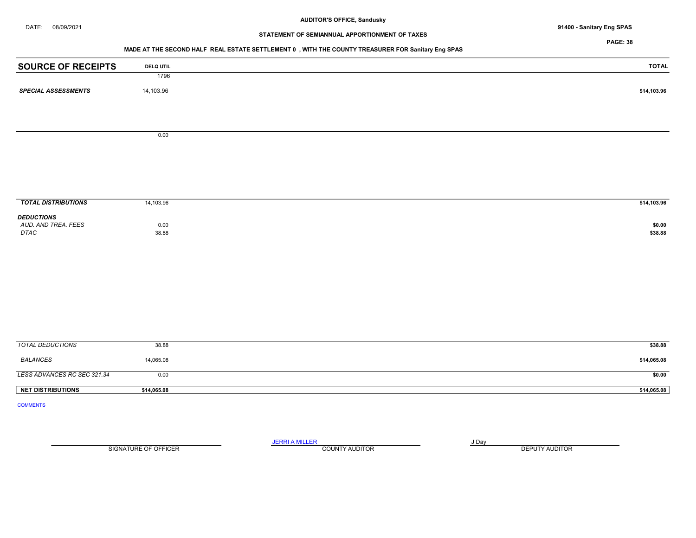DATE: 08/09/2021 91400 - Sanitary Eng SPAS

# STATEMENT OF SEMIANNUAL APPORTIONMENT OF TAXES

PAGE: 38

# MADE AT THE SECOND HALF REAL ESTATE SETTLEMENT 0 , WITH THE COUNTY TREASURER FOR Sanitary Eng SPAS

| <b>SOURCE OF RECEIPTS</b>                | <b>DELQ UTIL</b> | <b>TOTAL</b> |
|------------------------------------------|------------------|--------------|
|                                          | 1796             |              |
| <b>SPECIAL ASSESSMENTS</b>               | 14,103.96        | \$14,103.96  |
|                                          |                  |              |
|                                          |                  |              |
|                                          | 0.00             |              |
|                                          |                  |              |
|                                          |                  |              |
|                                          |                  |              |
|                                          |                  |              |
| <b>TOTAL DISTRIBUTIONS</b>               | 14,103.96        | \$14,103.96  |
|                                          |                  |              |
| <b>DEDUCTIONS</b><br>AUD. AND TREA. FEES | 0.00             | \$0.00       |
| $\ensuremath{\mathsf{DTAC}}$             | 38.88            | \$38.88      |
|                                          |                  |              |
|                                          |                  |              |
|                                          |                  |              |
|                                          |                  |              |
|                                          |                  |              |
|                                          |                  |              |
|                                          |                  |              |
| <b>TOTAL DEDUCTIONS</b>                  | 38.88            | \$38.88      |
| <b>BALANCES</b>                          | 14,065.08        | \$14,065.08  |
|                                          |                  |              |
| LESS ADVANCES RC SEC 321.34              | 0.00             | \$0.00       |
| <b>NET DISTRIBUTIONS</b>                 | \$14,065.08      | \$14,065.08  |
| <b>COMMENTS</b>                          |                  |              |

SIGNATURE OF OFFICER **EXECUTE A RELATION COUNTY AUDITOR** COUNTY AUDITOR **DEPUTY AUDITOR** 

JERRI A MILLER COUNTY AUDITOR **FOUR SERVICE ASSAULT** ON A LIBRARY OF LIBRARY AND LIBRARY OF LIBRARY OF LIBRARY OF LIBRARY OF LIBRARY OF LIBRARY OF LIBRARY OF LIBRARY OF LIBRARY OF LIBRARY OF LIBRARY OF LIBRARY OF LIBRARY O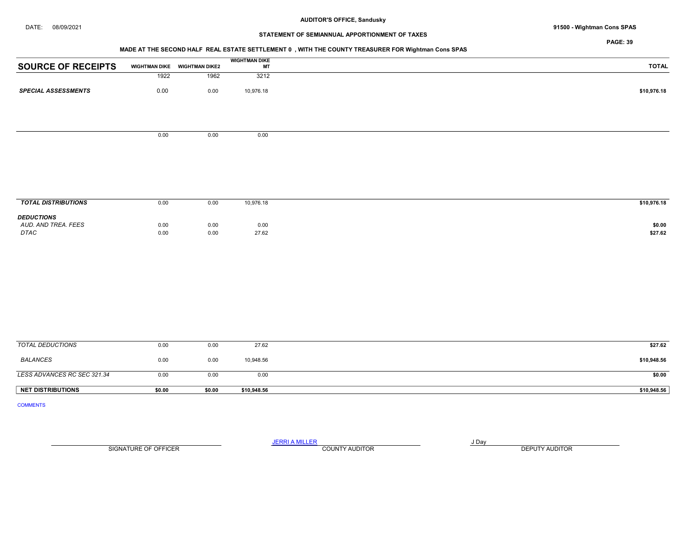## DATE: 08/09/2021 91500 - Wightman Cons SPAS

# STATEMENT OF SEMIANNUAL APPORTIONMENT OF TAXES

PAGE: 39

## MADE AT THE SECOND HALF REAL ESTATE SETTLEMENT 0 , WITH THE COUNTY TREASURER FOR Wightman Cons SPAS

|                            |                      |                       | <b>WIGHTMAN DIKE</b> |
|----------------------------|----------------------|-----------------------|----------------------|
| <b>SOURCE OF RECEIPTS</b>  | <b>WIGHTMAN DIKE</b> | <b>WIGHTMAN DIKE2</b> | MT                   |
|                            | 1922                 | 1962                  | 3212                 |
| <b>SPECIAL ASSESSMENTS</b> | 0.00                 | 0.00                  | 10,976.18            |
|                            |                      |                       |                      |

0.00 0.00 0.00

**TOTAL DISTRIBUTIONS** 0.00 0.00 0.00 10,976.18 \$10,976.18 \$10,976.18 **DEDUCTIONS**<br>AUD. AND TREA. FEES AUD. AND TREA. FEES 0.00 0.00 0.00 0.00 0.00 0.00 \$0.00 DTAC 0.00 0.00 27.62 \$27.62

| <b>NET DISTRIBUTIONS</b>    | \$0.00 | \$0.00 | \$10,948.56 | \$10,948.56 |
|-----------------------------|--------|--------|-------------|-------------|
| LESS ADVANCES RC SEC 321.34 | 0.00   | 0.00   | 0.00        | \$0.00      |
| BALANCES                    | 0.00   | 0.00   | 10,948.56   | \$10,948.56 |
| TOTAL DEDUCTIONS            | 0.00   | 0.00   | 27.62       | \$27.62     |

COMMENTS

JERRI A MILLER COUNTY AUDITOR **Fig. 1998** SIGNATURE OF OFFICER **EXECUTE A RELATION COUNTY AUDITOR** COUNTY AUDITOR **DEPUTY AUDITOR**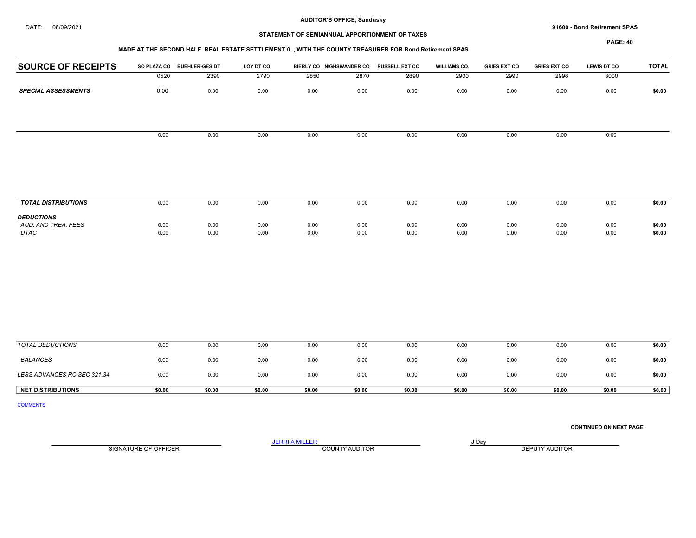DATE: 08/09/2021 91600 - Bond Retirement SPAS

## STATEMENT OF SEMIANNUAL APPORTIONMENT OF TAXES

## MADE AT THE SECOND HALF REAL ESTATE SETTLEMENT 0 , WITH THE COUNTY TREASURER FOR Bond Retirement SPAS

PAGE: 40

| <b>MADE AT THE SECOND HALL INCAL LOTATE SETTLEMENT V</b> , WITH THE COUNTT INCASUNENT ON DURK REMEMBER OF AS |      |                            |           |      |                          |                       |                     |                     |                     |                    |              |  |
|--------------------------------------------------------------------------------------------------------------|------|----------------------------|-----------|------|--------------------------|-----------------------|---------------------|---------------------|---------------------|--------------------|--------------|--|
| <b>SOURCE OF RECEIPTS</b>                                                                                    |      | SO PLAZA CO BUEHLER-GES DT | LOY DT CO |      | BIERLY CO NIGHSWANDER CO | <b>RUSSELL EXT CO</b> | <b>WILLIAMS CO.</b> | <b>GRIES EXT CO</b> | <b>GRIES EXT CO</b> | <b>LEWIS DT CO</b> | <b>TOTAL</b> |  |
|                                                                                                              | 0520 | 2390                       | 2790      | 2850 | 2870                     | 2890                  | 2900                | 2990                | 2998                | 3000               |              |  |
| <b>SPECIAL ASSESSMENTS</b>                                                                                   | 0.00 | 0.00                       | 0.00      | 0.00 | 0.00                     | 0.00                  | 0.00                | 0.00                | 0.00                | 0.00               | \$0.00       |  |
|                                                                                                              |      |                            |           |      |                          |                       |                     |                     |                     |                    |              |  |
|                                                                                                              |      |                            |           |      |                          |                       |                     |                     |                     |                    |              |  |
|                                                                                                              | 0.00 | 0.00                       | 0.00      | 0.00 | 0.00                     | 0.00                  | 0.00                | 0.00                | 0.00                | 0.00               |              |  |
|                                                                                                              |      |                            |           |      |                          |                       |                     |                     |                     |                    |              |  |
|                                                                                                              |      |                            |           |      |                          |                       |                     |                     |                     |                    |              |  |
|                                                                                                              |      |                            |           |      |                          |                       |                     |                     |                     |                    |              |  |
|                                                                                                              |      |                            |           |      |                          |                       |                     |                     |                     |                    |              |  |
| <b>TOTAL DISTRIBUTIONS</b>                                                                                   | 0.00 | 0.00                       | 0.00      | 0.00 | 0.00                     | 0.00                  | 0.00                | 0.00                | 0.00                | 0.00               | \$0.00       |  |

| <b>DEDUCTIONS</b>   |      |      |      |      |      |      |      |      |      |      |        |
|---------------------|------|------|------|------|------|------|------|------|------|------|--------|
| AUD. AND TREA. FEES | 0.00 | 0.00 | 0.00 | 0.00 | 0.00 | 0.00 | 0.00 | 0.00 | 0.00 | 0.00 | \$0.00 |
| <b>DTAC</b>         | 0.00 | 0.00 | 0.00 | 0.00 | 0.00 | 0.00 | 0.00 | 0.00 | 0.00 | 0.00 | \$0.00 |
|                     |      |      |      |      |      |      |      |      |      |      |        |

| TOTAL DEDUCTIONS            | 0.00   | 0.00   | 0.00   | 0.00   | 0.00   | 0.00   | 0.00   | 0.00   | 0.00   | 0.00   | \$0.00 |
|-----------------------------|--------|--------|--------|--------|--------|--------|--------|--------|--------|--------|--------|
| <b>BALANCES</b>             | 0.00   | 0.00   | 0.00   | 0.00   | 0.00   | 0.00   | 0.00   | 0.00   | 0.00   | 0.00   | \$0.00 |
| LESS ADVANCES RC SEC 321.34 | 0.00   | 0.00   | 0.00   | 0.00   | 0.00   | 0.00   | 0.00   | 0.00   | 0.00   | 0.00   | \$0.00 |
| <b>NET DISTRIBUTIONS</b>    | \$0.00 | \$0.00 | \$0.00 | \$0.00 | \$0.00 | \$0.00 | \$0.00 | \$0.00 | \$0.00 | \$0.00 | \$0.00 |

COMMENTS

CONTINUED ON NEXT PAGE

SIGNATURE OF OFFICER **EXECUTE A RELATION COUNTY AUDITOR** COUNTY AUDITOR **DEPUTY AUDITOR** 

JERRI A MILLER COUNTY AUDITOR **Finally COUNTY AUDITOR**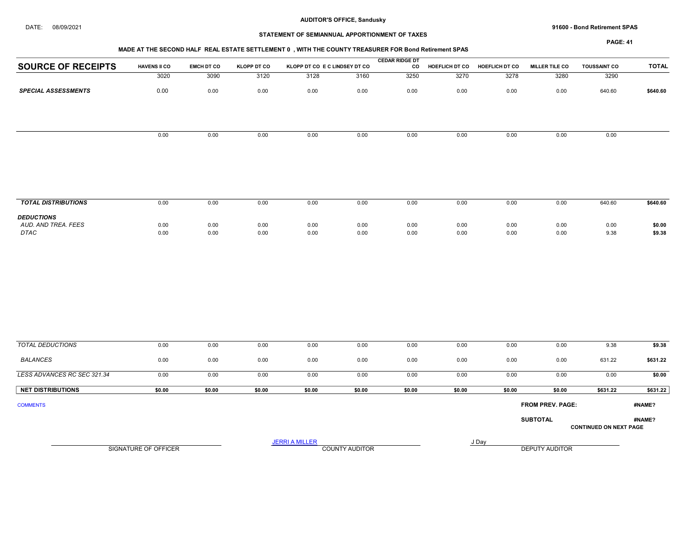#### DATE: 08/09/2021 91600 - Bond Retirement SPAS

# STATEMENT OF SEMIANNUAL APPORTIONMENT OF TAXES

PAGE: 41

|                                          |                     |                   |                    |                               |      | <b>CEDAR RIDGE DT</b> |                |                       |                       |                     |              |
|------------------------------------------|---------------------|-------------------|--------------------|-------------------------------|------|-----------------------|----------------|-----------------------|-----------------------|---------------------|--------------|
| <b>SOURCE OF RECEIPTS</b>                | <b>HAVENS II CO</b> | <b>EMCH DT CO</b> | <b>KLOPP DT CO</b> | KLOPP DT CO E C LINDSEY DT CO |      | co                    | HOEFLICH DT CO | <b>HOEFLICH DT CO</b> | <b>MILLER TILE CO</b> | <b>TOUSSAINT CO</b> | <b>TOTAL</b> |
|                                          | 3020                | 3090              | 3120               | 3128                          | 3160 | 3250                  | 3270           | 3278                  | 3280                  | 3290                |              |
| <b>SPECIAL ASSESSMENTS</b>               | 0.00                | 0.00              | 0.00               | 0.00                          | 0.00 | 0.00                  | 0.00           | 0.00                  | 0.00                  | 640.60              | \$640.60     |
|                                          |                     |                   |                    |                               |      |                       |                |                       |                       |                     |              |
|                                          | 0.00                | 0.00              | 0.00               | 0.00                          | 0.00 | 0.00                  | 0.00           | 0.00                  | 0.00                  | 0.00                |              |
|                                          |                     |                   |                    |                               |      |                       |                |                       |                       |                     |              |
| <b>TOTAL DISTRIBUTIONS</b>               | 0.00                | 0.00              | 0.00               | 0.00                          | 0.00 | 0.00                  | 0.00           | 0.00                  | 0.00                  | 640.60              | \$640.60     |
| <b>DEDUCTIONS</b><br>AUD. AND TREA. FEES | 0.00                | 0.00              | 0.00               | 0.00                          | 0.00 | 0.00                  | 0.00           | 0.00                  | 0.00                  | 0.00                | \$0.00       |

 AUD. AND TREA. FEES 0.00 0.00 0.00 0.00 0.00 0.00 0.00 0.00 0.00 0.00 \$0.00 DTAC 0.00 0.00 0.00 0.00 0.00 0.00 0.00 0.00 0.00 9.38 \$9.38

| <b>TOTAL DEDUCTIONS</b>     | 0.00                 | 0.00   | 0.00   | 0.00                  | 0.00                  | 0.00   | 0.00   | 0.00   | 0.00                    | 9.38                          | \$9.38   |
|-----------------------------|----------------------|--------|--------|-----------------------|-----------------------|--------|--------|--------|-------------------------|-------------------------------|----------|
| BALANCES                    | 0.00                 | 0.00   | 0.00   | 0.00                  | 0.00                  | 0.00   | 0.00   | 0.00   | 0.00                    | 631.22                        | \$631.22 |
| LESS ADVANCES RC SEC 321.34 | 0.00                 | 0.00   | 0.00   | 0.00                  | 0.00                  | 0.00   | 0.00   | 0.00   | 0.00                    | 0.00                          | \$0.00   |
| <b>NET DISTRIBUTIONS</b>    | \$0.00               | \$0.00 | \$0.00 | \$0.00                | \$0.00                | \$0.00 | \$0.00 | \$0.00 | \$0.00                  | \$631.22                      | \$631.22 |
| <b>COMMENTS</b>             |                      |        |        |                       |                       |        |        |        | <b>FROM PREV. PAGE:</b> |                               | #NAME?   |
|                             |                      |        |        |                       |                       |        |        |        | <b>SUBTOTAL</b>         | <b>CONTINUED ON NEXT PAGE</b> | #NAME?   |
|                             | SIGNATURE OF OFFICER |        |        | <b>JERRI A MILLER</b> | <b>COUNTY AUDITOR</b> |        | J Day  |        | <b>DEPUTY AUDITOR</b>   |                               |          |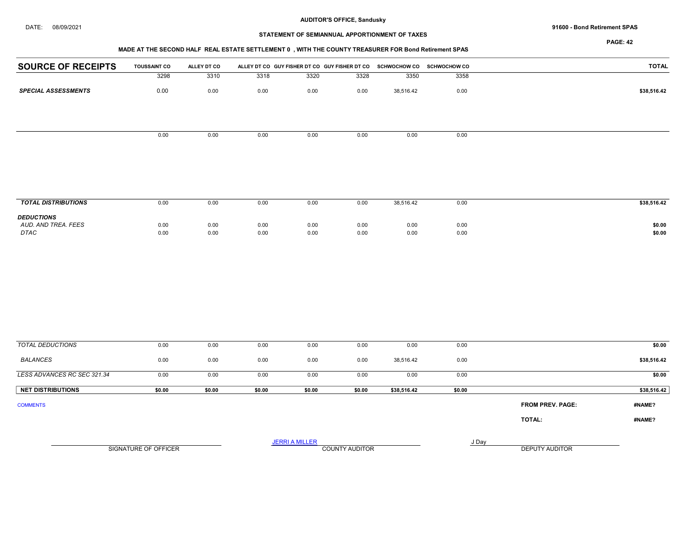#### DATE: 08/09/2021 91600 - Bond Retirement SPAS

# STATEMENT OF SEMIANNUAL APPORTIONMENT OF TAXES

PAGE: 42

## MADE AT THE SECOND HALF REAL ESTATE SETTLEMENT 0 , WITH THE COUNTY TREASURER FOR Bond Retirement SPAS

| <b>SOURCE OF RECEIPTS</b>  | <b>TOUSSAINT CO</b> | ALLEY DT CO |      |      |      | ALLEY DT CO GUY FISHER DT CO GUY FISHER DT CO SCHWOCHOW CO SCHWOCHOW CO |      | <b>TOTAL</b> |
|----------------------------|---------------------|-------------|------|------|------|-------------------------------------------------------------------------|------|--------------|
|                            | 3298                | 3310        | 3318 | 3320 | 3328 | 3350                                                                    | 3358 |              |
| <b>SPECIAL ASSESSMENTS</b> | 0.00                | 0.00        | 0.00 | 0.00 | 0.00 | 38,516.42                                                               | 0.00 | \$38,516.42  |
|                            |                     |             |      |      |      |                                                                         |      |              |
|                            |                     |             |      |      |      |                                                                         |      |              |
|                            | 0.00                | 0.00        | 0.00 | 0.00 | 0.00 | 0.00                                                                    | 0.00 |              |
|                            |                     |             |      |      |      |                                                                         |      |              |
|                            |                     |             |      |      |      |                                                                         |      |              |

| <b>TOTAL DISTRIBUTIONS</b>                              | 0.00         | 0.00         | 0.00         | 0.00                                 | 0.00                                 | 38,516.42    | 0.00         | \$38,516.42      |
|---------------------------------------------------------|--------------|--------------|--------------|--------------------------------------|--------------------------------------|--------------|--------------|------------------|
| <b>DEDUCTIONS</b><br>AUD. AND TREA. FEES<br><b>DTAC</b> | 0.00<br>0.00 | 0.00<br>0.00 | 0.00<br>0.00 | 0.00<br>$\sim$ $\sim$ $\sim$<br>0.00 | 0.00<br>$\sim$ $\sim$ $\sim$<br>0.00 | 0.00<br>0.00 | 0.00<br>0.00 | \$0.00<br>\$0.00 |

| 0.00   | 0.00                 | 0.00   | 0.00   | 0.00                  | 0.00                  | 0.00   |                         | \$0.00         |
|--------|----------------------|--------|--------|-----------------------|-----------------------|--------|-------------------------|----------------|
| 0.00   | 0.00                 | 0.00   | 0.00   | 0.00                  | 38,516.42             | 0.00   |                         | \$38,516.42    |
| 0.00   | 0.00                 | 0.00   | 0.00   | 0.00                  | 0.00                  | 0.00   |                         | \$0.00         |
| \$0.00 | \$0.00               | \$0.00 | \$0.00 | \$0.00                | \$38,516.42           | \$0.00 |                         | \$38,516.42    |
|        |                      |        |        |                       |                       |        | <b>FROM PREV. PAGE:</b> | #NAME?         |
|        |                      |        |        |                       |                       |        | TOTAL:                  | #NAME?         |
|        |                      |        |        |                       |                       | J Day  |                         |                |
|        | SIGNATURE OF OFFICER |        |        | <b>JERRI A MILLER</b> | <b>COUNTY AUDITOR</b> |        |                         | DEPUTY AUDITOR |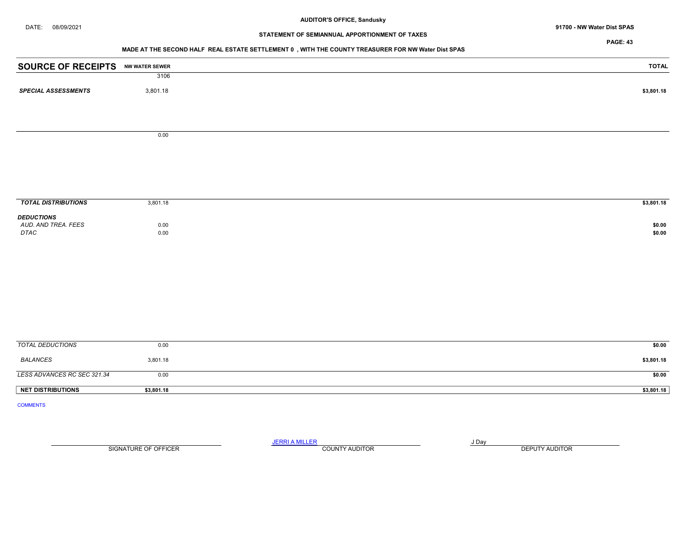DATE: 08/09/2021 91700 - NW Water Dist SPAS

# STATEMENT OF SEMIANNUAL APPORTIONMENT OF TAXES

PAGE: 43

## MADE AT THE SECOND HALF REAL ESTATE SETTLEMENT 0 , WITH THE COUNTY TREASURER FOR NW Water Dist SPAS

| <b>SOURCE OF RECEIPTS NW WATER SEWER</b> |              | <b>TOTAL</b>     |
|------------------------------------------|--------------|------------------|
|                                          | 3106         |                  |
| <b>SPECIAL ASSESSMENTS</b>               | 3,801.18     | \$3,801.18       |
|                                          |              |                  |
|                                          | 0.00         |                  |
|                                          |              |                  |
|                                          |              |                  |
|                                          |              |                  |
| <b>TOTAL DISTRIBUTIONS</b>               | 3,801.18     | \$3,801.18       |
| <b>DEDUCTIONS</b>                        |              |                  |
| AUD. AND TREA. FEES<br>DTAC              | 0.00<br>0.00 | \$0.00<br>\$0.00 |
|                                          |              |                  |
|                                          |              |                  |
|                                          |              |                  |
|                                          |              |                  |
|                                          |              |                  |
|                                          |              |                  |
|                                          |              |                  |
|                                          |              |                  |
| <b>TOTAL DEDUCTIONS</b>                  | 0.00         | \$0.00           |
| <b>BALANCES</b>                          | 3,801.18     | \$3,801.18       |
| LESS ADVANCES RC SEC 321.34              | 0.00         | \$0.00           |
| <b>NET DISTRIBUTIONS</b>                 | \$3,801.18   | \$3,801.18       |
| <b>COMMENTS</b>                          |              |                  |

SIGNATURE OF OFFICER **EXECUTE A RELATION COUNTY AUDITOR** COUNTY AUDITOR **DEPUTY AUDITOR** 

JERRI A MILLER COUNTY AUDITOR **FOUR SERVICE ASSAULT** ON A LIBRARY OF LIBRARY AND LIBRARY OF LIBRARY OF LIBRARY OF LIBRARY OF LIBRARY OF LIBRARY OF LIBRARY OF LIBRARY OF LIBRARY OF LIBRARY OF LIBRARY OF LIBRARY OF LIBRARY O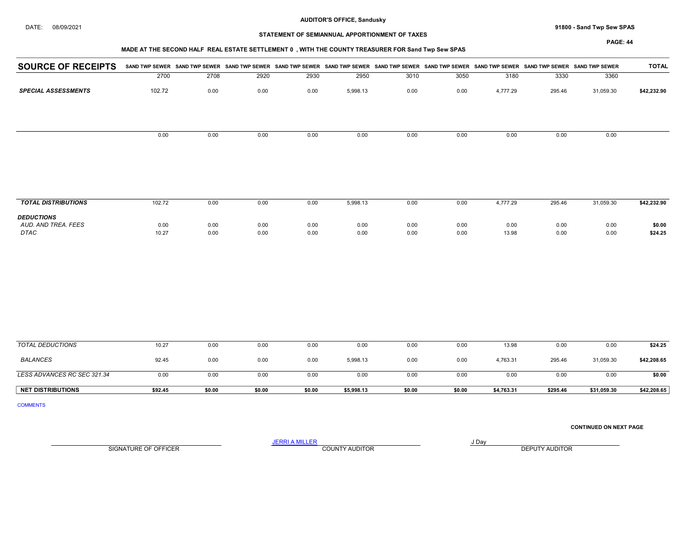DATE: 08/09/2021 91800 - Sand Twp Sew SPAS

## STATEMENT OF SEMIANNUAL APPORTIONMENT OF TAXES

## MADE AT THE SECOND HALF REAL ESTATE SETTLEMENT 0 , WITH THE COUNTY TREASURER FOR Sand Twp Sew SPAS

PAGE: 44

| <b>SPECIAL ASSESSMENTS</b>               | 2700<br>102.72 | 2708<br>0.00 | 2920 | 2930 | 2950     | 3010 |      |          |        |           |             |
|------------------------------------------|----------------|--------------|------|------|----------|------|------|----------|--------|-----------|-------------|
|                                          |                |              |      |      |          |      | 3050 | 3180     | 3330   | 3360      |             |
|                                          |                |              | 0.00 | 0.00 | 5,998.13 | 0.00 | 0.00 | 4,777.29 | 295.46 | 31,059.30 | \$42,232.90 |
|                                          |                |              |      |      |          |      |      |          |        |           |             |
|                                          | 0.00           | 0.00         | 0.00 | 0.00 | 0.00     | 0.00 | 0.00 | 0.00     | 0.00   | 0.00      |             |
|                                          |                |              |      |      |          |      |      |          |        |           |             |
|                                          |                |              |      |      |          |      |      |          |        |           |             |
| <b>TOTAL DISTRIBUTIONS</b>               | 102.72         | 0.00         | 0.00 | 0.00 | 5,998.13 | 0.00 | 0.00 | 4,777.29 | 295.46 | 31,059.30 | \$42,232.90 |
| <b>DEDUCTIONS</b><br>AUD. AND TREA. FEES | 0.00           | 0.00         | 0.00 | 0.00 | 0.00     | 0.00 | 0.00 | 0.00     | 0.00   | 0.00      | \$0.00      |

 AUD. AND TREA. FEES 0.00 0.00 0.00 0.00 0.00 0.00 0.00 0.00 0.00 0.00 \$0.00 DTAC 10.27 0.00 0.00 0.00 0.00 0.00 0.00 13.98 0.00 0.00 \$24.25

| <b>NET DISTRIBUTIONS</b>    | \$92.45 | \$0.00 | \$0.00 | \$0.00 | \$5,998.13 | \$0.00 | \$0.00 | \$4,763.31 | \$295.46 | \$31,059.30 | \$42,208.65 |
|-----------------------------|---------|--------|--------|--------|------------|--------|--------|------------|----------|-------------|-------------|
|                             | 0.00    | 0.00   | 0.00   | 0.00   | 0.00       | 0.00   | 0.00   | 0.00       | 0.00     | 0.00        | \$0.00      |
| LESS ADVANCES RC SEC 321.34 |         |        |        |        |            |        |        |            |          |             |             |
| BALANCES                    | 92.45   | 0.00   | 0.00   | 0.00   | 5,998.13   | 0.00   | 0.00   | 4,763.31   | 295.46   | 31,059.30   | \$42,208.65 |
| TOTAL DEDUCTIONS            | 10.27   | 0.00   | 0.00   | 0.00   | 0.00       | 0.00   | 0.00   | 13.98      | 0.00     | 0.00        | \$24.25     |
|                             |         |        |        |        |            |        |        |            |          |             |             |

COMMENTS

CONTINUED ON NEXT PAGE

SIGNATURE OF OFFICER **EXECUTY AUDITOR** COUNTY AUDITOR **COUNTY AUDITOR DEPUTY AUDITOR** 

JERRI A MILLER COUNTY AUDITOR **Fig. 1998**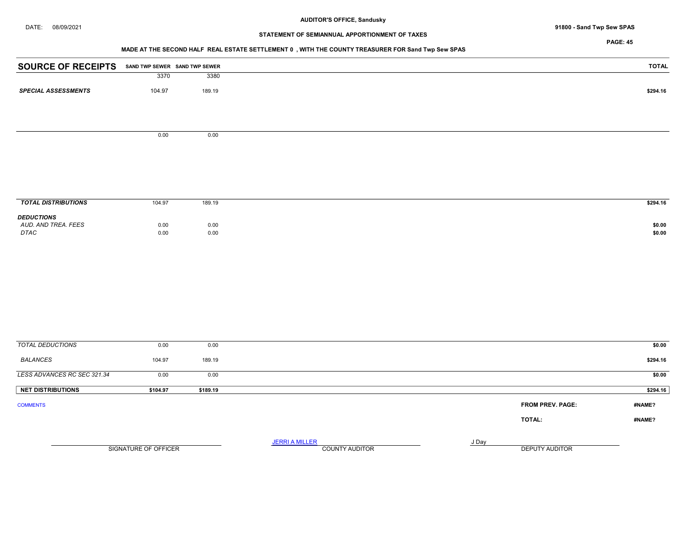## DATE: 08/09/2021 91800 - Sand Twp Sew SPAS

# STATEMENT OF SEMIANNUAL APPORTIONMENT OF TAXES

## PAGE: 45

# MADE AT THE SECOND HALF REAL ESTATE SETTLEMENT 0 , WITH THE COUNTY TREASURER FOR Sand Twp Sew SPAS

| <b>SOURCE OF RECEIPTS</b>  |        | SAND TWP SEWER SAND TWP SEWER | <b>TOTAL</b> |
|----------------------------|--------|-------------------------------|--------------|
|                            | 3370   | 3380                          |              |
| <b>SPECIAL ASSESSMENTS</b> | 104.97 | 189.19                        | \$294.16     |
|                            |        |                               |              |
|                            |        |                               |              |
|                            | 0.00   | 0.00                          |              |
|                            |        |                               |              |

| <b>TOTAL DISTRIBUTIONS</b><br>104.97                             | 189.19       | \$294.16         |
|------------------------------------------------------------------|--------------|------------------|
| <b>DEDUCTIONS</b><br>AUD. AND TREA. FEES<br>0.00<br>DTAC<br>0.00 | 0.00<br>0.00 | \$0.00<br>\$0.00 |

| TOTAL DEDUCTIONS            | 0.00                 | 0.00     |                                                |       |                         | \$0.00   |
|-----------------------------|----------------------|----------|------------------------------------------------|-------|-------------------------|----------|
| <b>BALANCES</b>             | 104.97               | 189.19   |                                                |       |                         | \$294.16 |
| LESS ADVANCES RC SEC 321.34 | 0.00                 | 0.00     |                                                |       |                         | \$0.00   |
| <b>NET DISTRIBUTIONS</b>    | \$104.97             | \$189.19 |                                                |       |                         | \$294.16 |
| <b>COMMENTS</b>             |                      |          |                                                |       | <b>FROM PREV. PAGE:</b> | #NAME?   |
|                             |                      |          |                                                |       | TOTAL:                  | #NAME?   |
|                             | SIGNATURE OF OFFICER |          | <b>JERRI A MILLER</b><br><b>COUNTY AUDITOR</b> | J Day | DEPUTY AUDITOR          |          |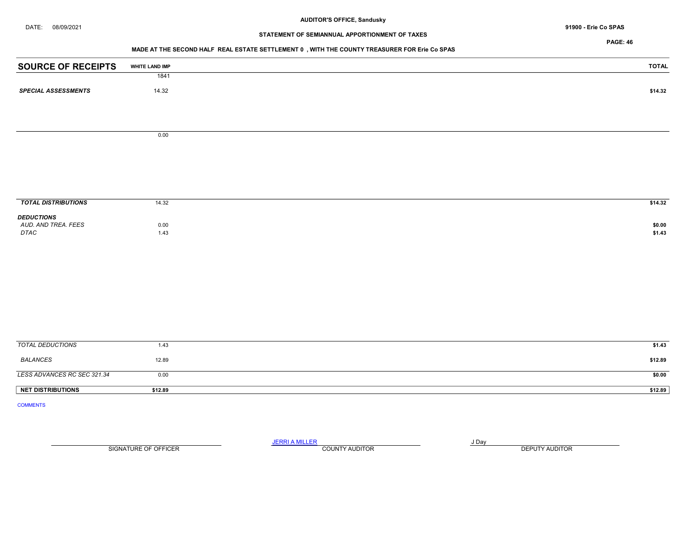DATE: 08/09/2021 91900 - Erie Co SPAS

# STATEMENT OF SEMIANNUAL APPORTIONMENT OF TAXES

PAGE: 46

## MADE AT THE SECOND HALF REAL ESTATE SETTLEMENT 0 , WITH THE COUNTY TREASURER FOR Erie Co SPAS

| <b>SOURCE OF RECEIPTS</b>   | <b>WHITE LAND IMP</b> | <b>TOTAL</b>     |
|-----------------------------|-----------------------|------------------|
|                             | 1841                  |                  |
| <b>SPECIAL ASSESSMENTS</b>  | 14.32                 | \$14.32          |
|                             |                       |                  |
|                             |                       |                  |
|                             |                       |                  |
|                             | 0.00                  |                  |
|                             |                       |                  |
|                             |                       |                  |
|                             |                       |                  |
|                             |                       |                  |
| <b>TOTAL DISTRIBUTIONS</b>  | 14.32                 | \$14.32          |
| <b>DEDUCTIONS</b>           |                       |                  |
| AUD. AND TREA. FEES<br>DTAC | 0.00<br>1.43          | \$0.00<br>\$1.43 |
|                             |                       |                  |
|                             |                       |                  |
|                             |                       |                  |
|                             |                       |                  |
|                             |                       |                  |
|                             |                       |                  |
|                             |                       |                  |
|                             |                       |                  |
| <b>TOTAL DEDUCTIONS</b>     | 1.43                  | \$1.43           |
| <b>BALANCES</b>             | 12.89                 | \$12.89          |
|                             |                       |                  |
| LESS ADVANCES RC SEC 321.34 | 0.00                  | \$0.00           |
| <b>NET DISTRIBUTIONS</b>    | \$12.89               | \$12.89          |
| <b>COMMENTS</b>             |                       |                  |
|                             |                       |                  |

SIGNATURE OF OFFICER **EXECUTE A RELATION COUNTY AUDITOR** COUNTY AUDITOR **DEPUTY AUDITOR** 

JERRI A MILLER COUNTY AUDITOR **FOUR SERVICE ASSAULT**